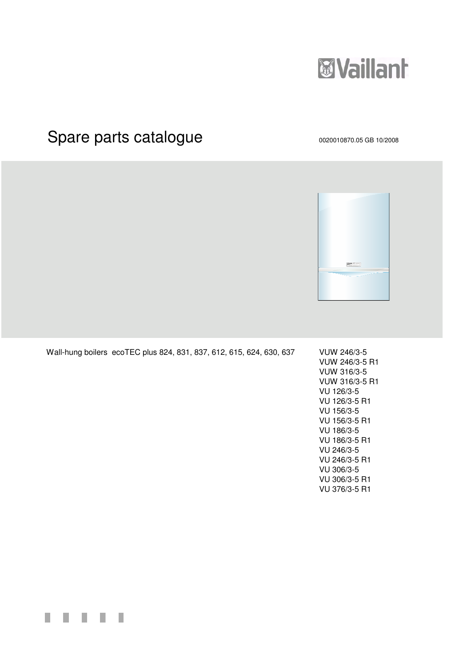

# Spare parts catalogue 0020010870.05 GB 10/2008



Wall-hung boilers ecoTEC plus 824, 831, 837, 612, 615, 624, 630, 637 VUW 246/3-5

VUW 246/3-5 R1 VUW 316/3-5 VUW 316/3-5 R1 VU 126/3-5 VU 126/3-5 R1 VU 156/3-5 VU 156/3-5 R1 VU 186/3-5 VU 186/3-5 R1 VU 246/3-5 VU 246/3-5 R1 VU 306/3-5 VU 306/3-5 R1 VU 376/3-5 R1

П H H П ш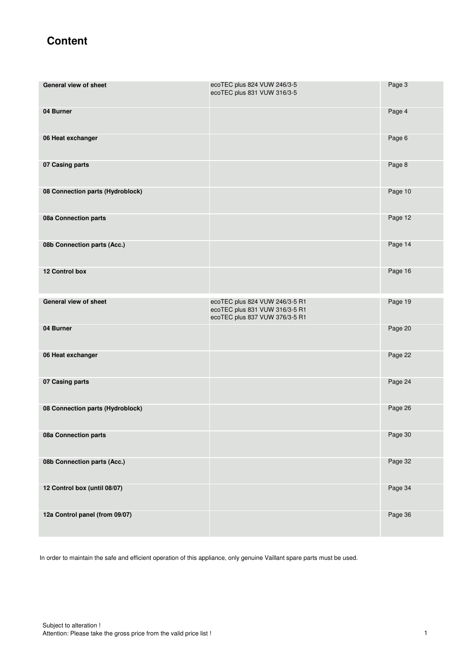# **Content**

| General view of sheet            | ecoTEC plus 824 VUW 246/3-5<br>ecoTEC plus 831 VUW 316/3-5                                         | Page 3  |
|----------------------------------|----------------------------------------------------------------------------------------------------|---------|
| 04 Burner                        |                                                                                                    | Page 4  |
| 06 Heat exchanger                |                                                                                                    | Page 6  |
| 07 Casing parts                  |                                                                                                    | Page 8  |
| 08 Connection parts (Hydroblock) |                                                                                                    | Page 10 |
| 08a Connection parts             |                                                                                                    | Page 12 |
| 08b Connection parts (Acc.)      |                                                                                                    | Page 14 |
| 12 Control box                   |                                                                                                    | Page 16 |
| General view of sheet            | ecoTEC plus 824 VUW 246/3-5 R1<br>ecoTEC plus 831 VUW 316/3-5 R1<br>ecoTEC plus 837 VUW 376/3-5 R1 | Page 19 |
| 04 Burner                        |                                                                                                    | Page 20 |
| 06 Heat exchanger                |                                                                                                    | Page 22 |
| 07 Casing parts                  |                                                                                                    | Page 24 |
| 08 Connection parts (Hydroblock) |                                                                                                    | Page 26 |
| 08a Connection parts             |                                                                                                    | Page 30 |
| 08b Connection parts (Acc.)      |                                                                                                    | Page 32 |
| 12 Control box (until 08/07)     |                                                                                                    | Page 34 |
| 12a Control panel (from 09/07)   |                                                                                                    | Page 36 |

In order to maintain the safe and efficient operation of this appliance, only genuine Vaillant spare parts must be used.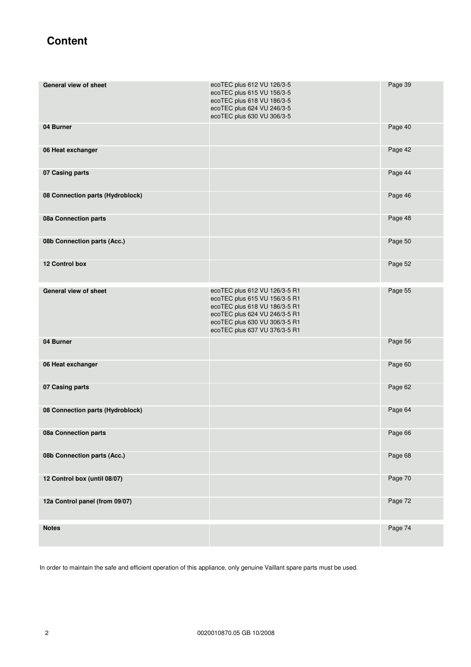# **Content**

| General view of sheet            | ecoTEC plus 612 VU 126/3-5<br>ecoTEC plus 615 VU 156/3-5<br>ecoTEC plus 618 VU 186/3-5<br>ecoTEC plus 624 VU 246/3-5<br>ecoTEC plus 630 VU 306/3-5                                                 | Page 39 |
|----------------------------------|----------------------------------------------------------------------------------------------------------------------------------------------------------------------------------------------------|---------|
| 04 Burner                        |                                                                                                                                                                                                    | Page 40 |
| 06 Heat exchanger                |                                                                                                                                                                                                    | Page 42 |
| 07 Casing parts                  |                                                                                                                                                                                                    | Page 44 |
| 08 Connection parts (Hydroblock) |                                                                                                                                                                                                    | Page 46 |
| 08a Connection parts             |                                                                                                                                                                                                    | Page 48 |
| 08b Connection parts (Acc.)      |                                                                                                                                                                                                    | Page 50 |
| 12 Control box                   |                                                                                                                                                                                                    | Page 52 |
| <b>General view of sheet</b>     | ecoTEC plus 612 VU 126/3-5 R1<br>ecoTEC plus 615 VU 156/3-5 R1<br>ecoTEC plus 618 VU 186/3-5 R1<br>ecoTEC plus 624 VU 246/3-5 R1<br>ecoTEC plus 630 VU 306/3-5 R1<br>ecoTEC plus 637 VU 376/3-5 R1 | Page 55 |
| 04 Burner                        |                                                                                                                                                                                                    | Page 56 |
| 06 Heat exchanger                |                                                                                                                                                                                                    | Page 60 |
| 07 Casing parts                  |                                                                                                                                                                                                    | Page 62 |
| 08 Connection parts (Hydroblock) |                                                                                                                                                                                                    | Page 64 |
| 08a Connection parts             |                                                                                                                                                                                                    | Page 66 |
| 08b Connection parts (Acc.)      |                                                                                                                                                                                                    | Page 68 |
| 12 Control box (until 08/07)     |                                                                                                                                                                                                    | Page 70 |
| 12a Control panel (from 09/07)   |                                                                                                                                                                                                    | Page 72 |
| <b>Notes</b>                     |                                                                                                                                                                                                    | Page 74 |

In order to maintain the safe and efficient operation of this appliance, only genuine Vaillant spare parts must be used.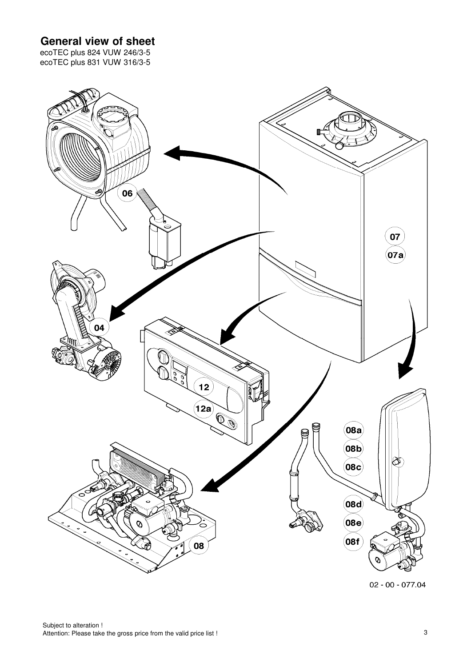## **General view of sheet**

ecoTEC plus 824 VUW 246/3-5 ecoTEC plus 831 VUW 316/3-5



 $02 - 00 - 077.04$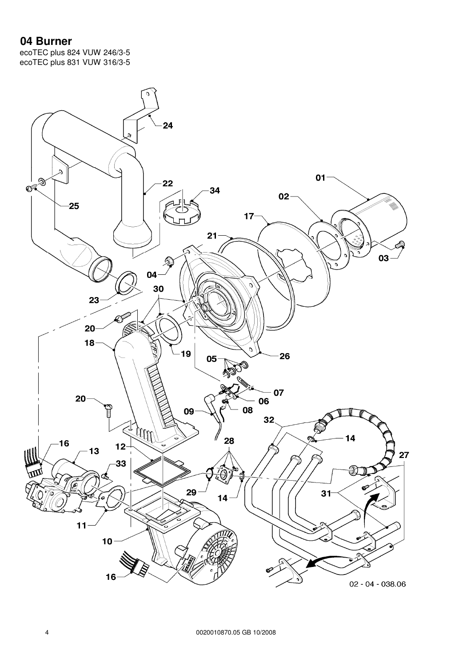#### **04 Burner**

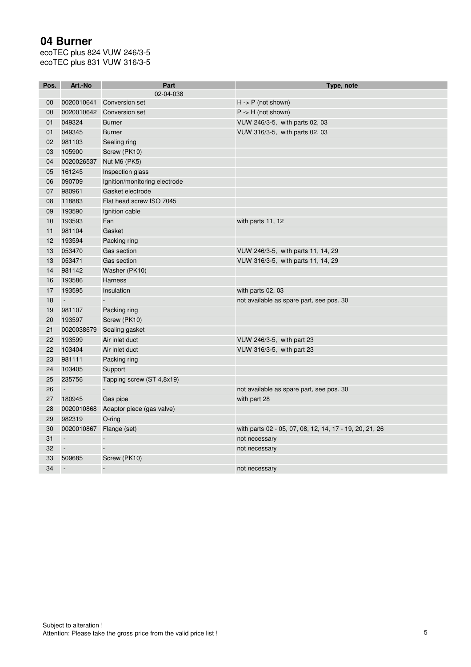# **04 Burner**

| Pos.            | Art.-No                  | Part                          | Type, note                                              |
|-----------------|--------------------------|-------------------------------|---------------------------------------------------------|
|                 |                          | 02-04-038                     |                                                         |
| 00              | 0020010641               | <b>Conversion set</b>         | $H - P$ (not shown)                                     |
| 00              | 0020010642               | Conversion set                | $P \rightarrow H$ (not shown)                           |
| 01              | 049324                   | <b>Burner</b>                 | VUW 246/3-5, with parts 02, 03                          |
| 01              | 049345                   | <b>Burner</b>                 | VUW 316/3-5, with parts 02, 03                          |
| 02 <sub>2</sub> | 981103                   | Sealing ring                  |                                                         |
| 03              | 105900                   | Screw (PK10)                  |                                                         |
| 04              | 0020026537               | Nut M6 (PK5)                  |                                                         |
| 05              | 161245                   | Inspection glass              |                                                         |
| 06              | 090709                   | Ignition/monitoring electrode |                                                         |
| 07              | 980961                   | Gasket electrode              |                                                         |
| 08              | 118883                   | Flat head screw ISO 7045      |                                                         |
| 09              | 193590                   | Ignition cable                |                                                         |
| 10              | 193593                   | Fan                           | with parts 11, 12                                       |
| 11              | 981104                   | Gasket                        |                                                         |
| 12              | 193594                   | Packing ring                  |                                                         |
| 13              | 053470                   | Gas section                   | VUW 246/3-5, with parts 11, 14, 29                      |
| 13              | 053471                   | Gas section                   | VUW 316/3-5, with parts 11, 14, 29                      |
| 14              | 981142                   | Washer (PK10)                 |                                                         |
| 16              | 193586                   | <b>Harness</b>                |                                                         |
| 17              | 193595                   | Insulation                    | with parts 02, 03                                       |
| 18              | $\blacksquare$           |                               | not available as spare part, see pos. 30                |
| 19              | 981107                   | Packing ring                  |                                                         |
| 20              | 193597                   | Screw (PK10)                  |                                                         |
| 21              | 0020038679               | Sealing gasket                |                                                         |
| 22              | 193599                   | Air inlet duct                | VUW 246/3-5, with part 23                               |
| 22              | 103404                   | Air inlet duct                | VUW 316/3-5, with part 23                               |
| 23              | 981111                   | Packing ring                  |                                                         |
| 24              | 103405                   | Support                       |                                                         |
| 25              | 235756                   | Tapping screw (ST 4,8x19)     |                                                         |
| 26              | $\Box$                   |                               | not available as spare part, see pos. 30                |
| 27              | 180945                   | Gas pipe                      | with part 28                                            |
| 28              | 0020010868               | Adaptor piece (gas valve)     |                                                         |
| 29              | 982319                   | O-ring                        |                                                         |
| 30              | 0020010867               | Flange (set)                  | with parts 02 - 05, 07, 08, 12, 14, 17 - 19, 20, 21, 26 |
| 31              | $\Box$                   | $\overline{\phantom{a}}$      | not necessary                                           |
| 32              | $\overline{\phantom{a}}$ |                               | not necessary                                           |
| 33              | 509685                   | Screw (PK10)                  |                                                         |
| 34              | $\Box$                   | $\overline{a}$                | not necessary                                           |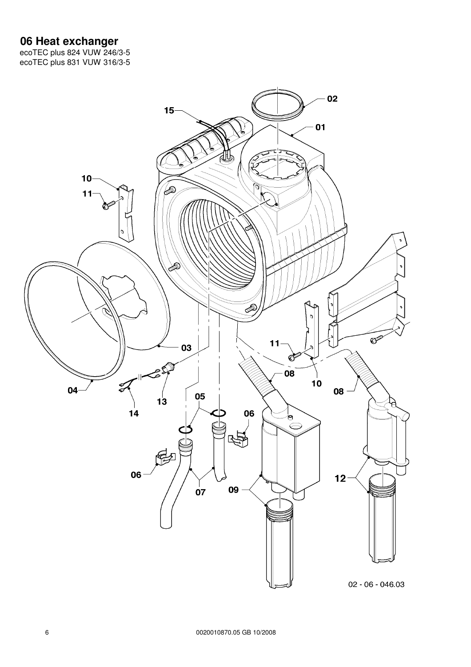#### **06 Heat exchanger**

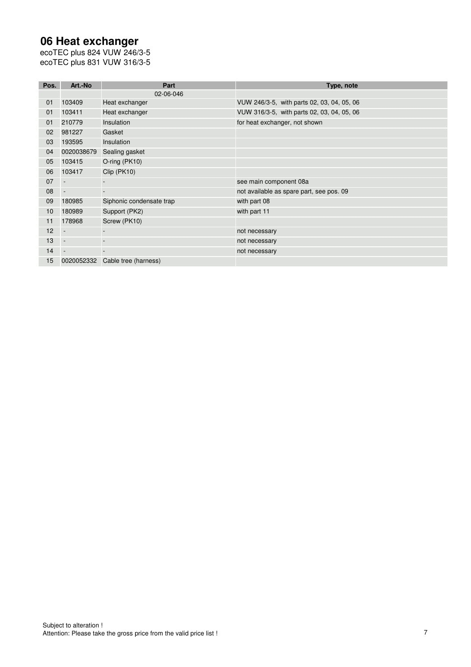## **06 Heat exchanger**

| Pos. | Art.-No    | Part                     | Type, note                                 |
|------|------------|--------------------------|--------------------------------------------|
|      |            | 02-06-046                |                                            |
| 01   | 103409     | Heat exchanger           | VUW 246/3-5, with parts 02, 03, 04, 05, 06 |
| 01   | 103411     | Heat exchanger           | VUW 316/3-5, with parts 02, 03, 04, 05, 06 |
| 01   | 210779     | Insulation               | for heat exchanger, not shown              |
| 02   | 981227     | Gasket                   |                                            |
| 03   | 193595     | Insulation               |                                            |
| 04   | 0020038679 | Sealing gasket           |                                            |
| 05   | 103415     | O-ring (PK10)            |                                            |
| 06   | 103417     | Clip (PK10)              |                                            |
| 07   |            |                          | see main component 08a                     |
| 08   |            |                          | not available as spare part, see pos. 09   |
| 09   | 180985     | Siphonic condensate trap | with part 08                               |
| 10   | 180989     | Support (PK2)            | with part 11                               |
| 11   | 178968     | Screw (PK10)             |                                            |
| 12   |            |                          | not necessary                              |
| 13   |            |                          | not necessary                              |
| 14   |            |                          | not necessary                              |
| 15   | 0020052332 | Cable tree (harness)     |                                            |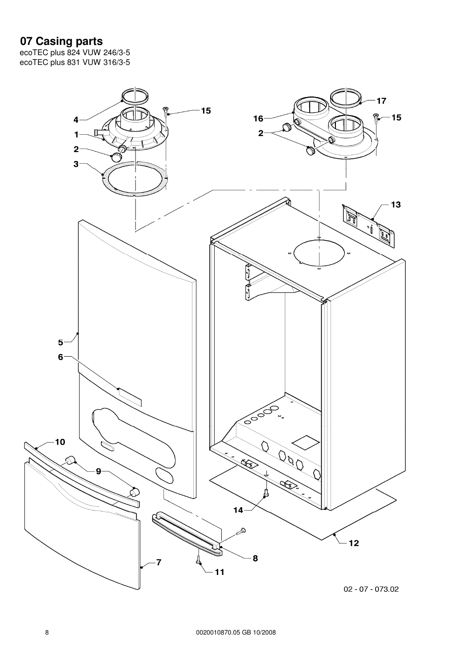## **07 Casing parts**

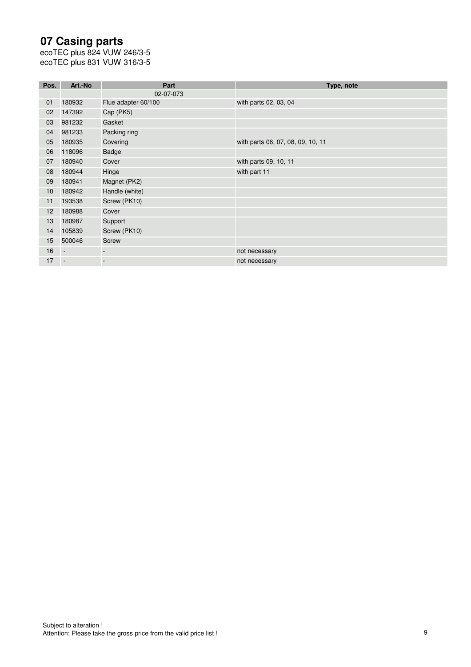# **07 Casing parts**

| Pos. | Art.-No                  | Part                | Type, note                        |
|------|--------------------------|---------------------|-----------------------------------|
|      |                          | 02-07-073           |                                   |
| 01   | 180932                   | Flue adapter 60/100 | with parts 02, 03, 04             |
| 02   | 147392                   | Cap (PK5)           |                                   |
| 03   | 981232                   | Gasket              |                                   |
| 04   | 981233                   | Packing ring        |                                   |
| 05   | 180935                   | Covering            | with parts 06, 07, 08, 09, 10, 11 |
| 06   | 118096                   | Badge               |                                   |
| 07   | 180940                   | Cover               | with parts 09, 10, 11             |
| 08   | 180944                   | Hinge               | with part 11                      |
| 09   | 180941                   | Magnet (PK2)        |                                   |
| 10   | 180942                   | Handle (white)      |                                   |
| 11   | 193538                   | Screw (PK10)        |                                   |
| 12   | 180988                   | Cover               |                                   |
| 13   | 180987                   | Support             |                                   |
| 14   | 105839                   | Screw (PK10)        |                                   |
| 15   | 500046                   | <b>Screw</b>        |                                   |
| 16   | $\overline{\phantom{a}}$ |                     | not necessary                     |
| 17   | $\overline{\phantom{a}}$ |                     | not necessary                     |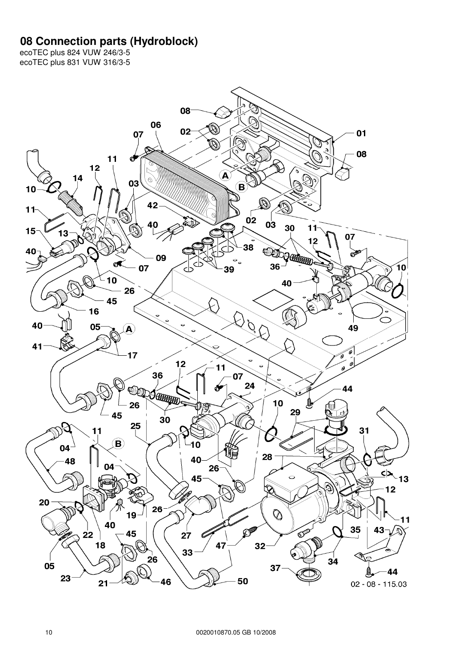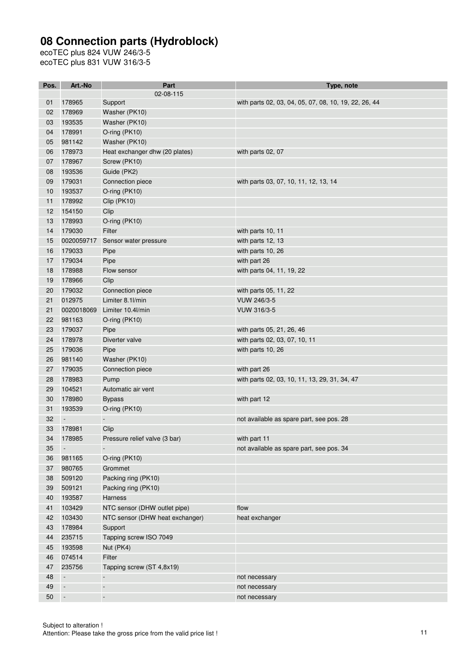| Pos.            | Art.-No                  | Part                            | Type, note                                            |
|-----------------|--------------------------|---------------------------------|-------------------------------------------------------|
|                 |                          | 02-08-115                       |                                                       |
| 01              | 178965                   | Support                         | with parts 02, 03, 04, 05, 07, 08, 10, 19, 22, 26, 44 |
| 02              | 178969                   | Washer (PK10)                   |                                                       |
| 03              | 193535                   | Washer (PK10)                   |                                                       |
| 04              | 178991                   | O-ring (PK10)                   |                                                       |
| 05              | 981142                   | Washer (PK10)                   |                                                       |
| 06              | 178973                   | Heat exchanger dhw (20 plates)  | with parts 02, 07                                     |
| 07              | 178967                   | Screw (PK10)                    |                                                       |
| 08              | 193536                   | Guide (PK2)                     |                                                       |
| 09              | 179031                   | Connection piece                | with parts 03, 07, 10, 11, 12, 13, 14                 |
| 10              | 193537                   | O-ring (PK10)                   |                                                       |
| 11              | 178992                   | Clip (PK10)                     |                                                       |
| 12 <sup>2</sup> | 154150                   | Clip                            |                                                       |
| 13              | 178993                   | O-ring (PK10)                   |                                                       |
| 14              | 179030                   | Filter                          | with parts 10, 11                                     |
| 15              | 0020059717               | Sensor water pressure           | with parts 12, 13                                     |
| 16              | 179033                   | Pipe                            | with parts 10, 26                                     |
| 17              | 179034                   | Pipe                            | with part 26                                          |
| 18              | 178988                   | Flow sensor                     | with parts 04, 11, 19, 22                             |
| 19              | 178966                   | Clip                            |                                                       |
| 20              | 179032                   | Connection piece                | with parts 05, 11, 22                                 |
| 21              | 012975                   | Limiter 8.1l/min                | VUW 246/3-5                                           |
| 21              | 0020018069               | Limiter 10.4l/min               | <b>VUW 316/3-5</b>                                    |
| 22              | 981163                   | O-ring (PK10)                   |                                                       |
| 23              | 179037                   | Pipe                            | with parts 05, 21, 26, 46                             |
| 24              | 178978                   | Diverter valve                  | with parts 02, 03, 07, 10, 11                         |
| 25              | 179036                   | Pipe                            | with parts 10, 26                                     |
| 26              | 981140                   | Washer (PK10)                   |                                                       |
| 27              | 179035                   | Connection piece                | with part 26                                          |
| 28              | 178983                   | Pump                            | with parts 02, 03, 10, 11, 13, 29, 31, 34, 47         |
| 29              | 104521                   | Automatic air vent              |                                                       |
| 30              | 178980                   | <b>Bypass</b>                   | with part 12                                          |
| 31              | 193539                   | O-ring (PK10)                   |                                                       |
| 32              |                          |                                 | not available as spare part, see pos. 28              |
| 33              | 178981                   | Clip                            |                                                       |
| 34              | 178985                   | Pressure relief valve (3 bar)   | with part 11                                          |
| 35              |                          |                                 | not available as spare part, see pos. 34              |
| 36              | 981165                   | O-ring (PK10)                   |                                                       |
| 37              | 980765                   | Grommet                         |                                                       |
| 38              | 509120                   | Packing ring (PK10)             |                                                       |
| 39              | 509121                   | Packing ring (PK10)             |                                                       |
| 40              | 193587                   | Harness                         |                                                       |
| 41              | 103429                   | NTC sensor (DHW outlet pipe)    | flow                                                  |
| 42              | 103430                   | NTC sensor (DHW heat exchanger) | heat exchanger                                        |
| 43              | 178984                   | Support                         |                                                       |
| 44              | 235715                   | Tapping screw ISO 7049          |                                                       |
| 45              | 193598                   | Nut (PK4)                       |                                                       |
| 46              | 074514                   | Filter                          |                                                       |
| 47              | 235756                   | Tapping screw (ST 4,8x19)       |                                                       |
| 48              | $\overline{\phantom{a}}$ | $\blacksquare$                  | not necessary                                         |
| 49              | $\blacksquare$           | $\overline{\phantom{a}}$        | not necessary                                         |
| 50              | $\overline{\phantom{a}}$ | $\blacksquare$                  | not necessary                                         |
|                 |                          |                                 |                                                       |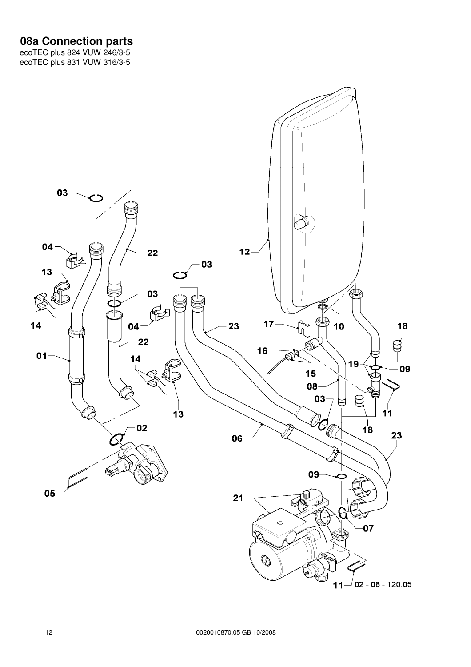#### **08a Connection parts**

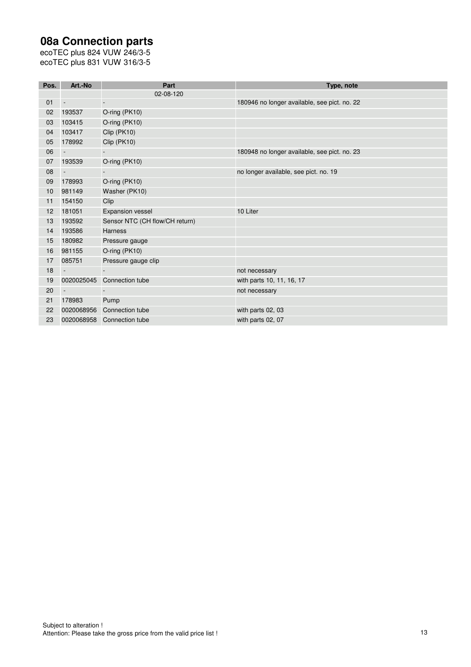# **08a Connection parts**

| Pos. | Art.-No                  | Part                           | Type, note                                   |
|------|--------------------------|--------------------------------|----------------------------------------------|
|      |                          | 02-08-120                      |                                              |
| 01   | $\overline{\phantom{a}}$ |                                | 180946 no longer available, see pict. no. 22 |
| 02   | 193537                   | O-ring (PK10)                  |                                              |
| 03   | 103415                   | O-ring (PK10)                  |                                              |
| 04   | 103417                   | Clip (PK10)                    |                                              |
| 05   | 178992                   | Clip (PK10)                    |                                              |
| 06   | $\overline{\phantom{a}}$ |                                | 180948 no longer available, see pict. no. 23 |
| 07   | 193539                   | O-ring (PK10)                  |                                              |
| 08   | $\overline{\phantom{a}}$ |                                | no longer available, see pict. no. 19        |
| 09   | 178993                   | O-ring (PK10)                  |                                              |
| 10   | 981149                   | Washer (PK10)                  |                                              |
| 11   | 154150                   | Clip                           |                                              |
| 12   | 181051                   | <b>Expansion vessel</b>        | 10 Liter                                     |
| 13   | 193592                   | Sensor NTC (CH flow/CH return) |                                              |
| 14   | 193586                   | <b>Harness</b>                 |                                              |
| 15   | 180982                   | Pressure gauge                 |                                              |
| 16   | 981155                   | O-ring (PK10)                  |                                              |
| 17   | 085751                   | Pressure gauge clip            |                                              |
| 18   | $\overline{\phantom{a}}$ | $\blacksquare$                 | not necessary                                |
| 19   | 0020025045               | Connection tube                | with parts 10, 11, 16, 17                    |
| 20   | $\overline{\phantom{a}}$ |                                | not necessary                                |
| 21   | 178983                   | Pump                           |                                              |
| 22   | 0020068956               | Connection tube                | with parts 02, 03                            |
| 23   |                          | 0020068958 Connection tube     | with parts 02, 07                            |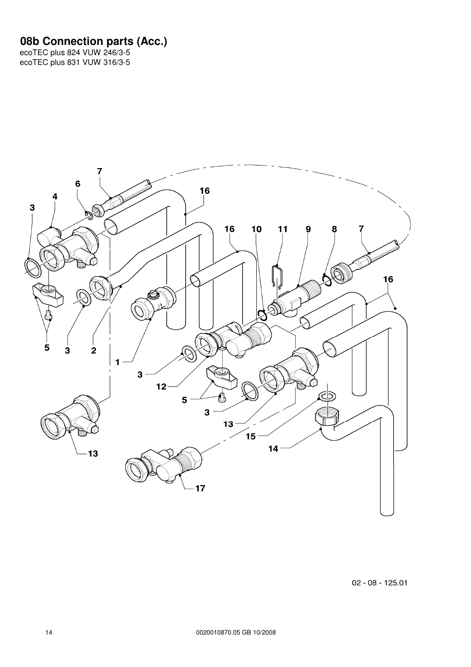#### **08b Connection parts (Acc.)**



 $02 - 08 - 125.01$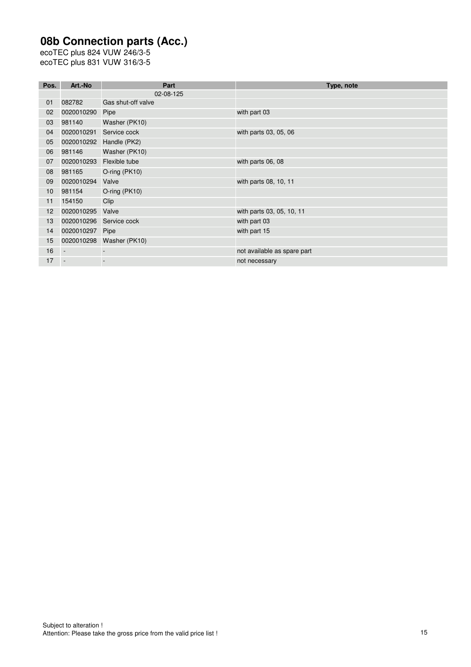# **08b Connection parts (Acc.)**

| Pos. | Art.-No                  | Part               | Type, note                  |
|------|--------------------------|--------------------|-----------------------------|
|      |                          | 02-08-125          |                             |
| 01   | 082782                   | Gas shut-off valve |                             |
| 02   | 0020010290               | Pipe               | with part 03                |
| 03   | 981140                   | Washer (PK10)      |                             |
| 04   | 0020010291               | Service cock       | with parts 03, 05, 06       |
| 05   | 0020010292               | Handle (PK2)       |                             |
| 06   | 981146                   | Washer (PK10)      |                             |
| 07   | 0020010293               | Flexible tube      | with parts 06, 08           |
| 08   | 981165                   | O-ring (PK10)      |                             |
| 09   | 0020010294               | Valve              | with parts 08, 10, 11       |
| 10   | 981154                   | $O$ -ring (PK10)   |                             |
| 11   | 154150                   | Clip               |                             |
| 12   | 0020010295               | Valve              | with parts 03, 05, 10, 11   |
| 13   | 0020010296               | Service cock       | with part 03                |
| 14   | 0020010297               | Pipe               | with part 15                |
| 15   | 0020010298               | Washer (PK10)      |                             |
| 16   | $\overline{\phantom{a}}$ |                    | not available as spare part |
| 17   | $\overline{\phantom{a}}$ |                    | not necessary               |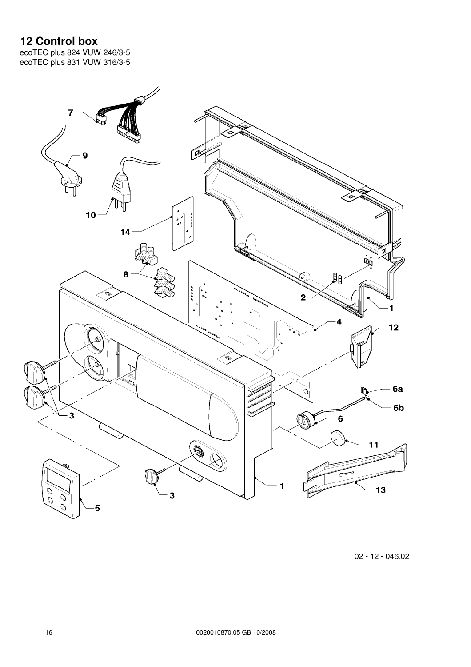## **12 Control box**

ecoTEC plus 824 VUW 246/3-5 ecoTEC plus 831 VUW 316/3-5



02 - 12 - 046.02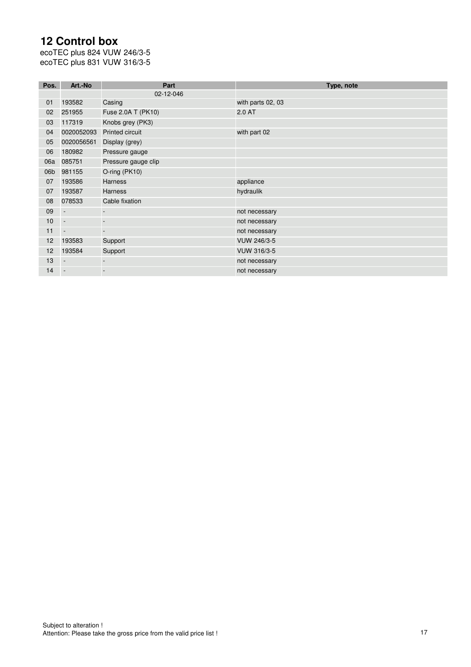# **12 Control box**

| Pos. | Art.-No                  | Part                | Type, note         |
|------|--------------------------|---------------------|--------------------|
|      |                          | 02-12-046           |                    |
| 01   | 193582                   | Casing              | with parts 02, 03  |
| 02   | 251955                   | Fuse 2.0A T (PK10)  | 2.0 AT             |
| 03   | 117319                   | Knobs grey (PK3)    |                    |
| 04   | 0020052093               | Printed circuit     | with part 02       |
| 05   | 0020056561               | Display (grey)      |                    |
| 06   | 180982                   | Pressure gauge      |                    |
| 06a  | 085751                   | Pressure gauge clip |                    |
| 06b  | 981155                   | O-ring (PK10)       |                    |
| 07   | 193586                   | <b>Harness</b>      | appliance          |
| 07   | 193587                   | Harness             | hydraulik          |
| 08   | 078533                   | Cable fixation      |                    |
| 09   | $\overline{\phantom{a}}$ |                     | not necessary      |
| 10   | $\overline{\phantom{a}}$ |                     | not necessary      |
| 11   | $\overline{\phantom{a}}$ |                     | not necessary      |
| 12   | 193583                   | Support             | VUW 246/3-5        |
| 12   | 193584                   | Support             | <b>VUW 316/3-5</b> |
| 13   | $\overline{\phantom{a}}$ |                     | not necessary      |
| 14   |                          |                     | not necessary      |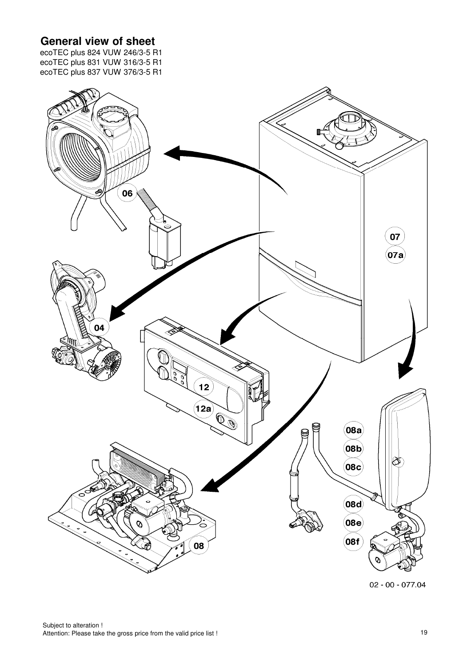# **General view of sheet**

ecoTEC plus 824 VUW 246/3-5 R1 ecoTEC plus 831 VUW 316/3-5 R1 ecoTEC plus 837 VUW 376/3-5 R1



 $02 - 00 - 077.04$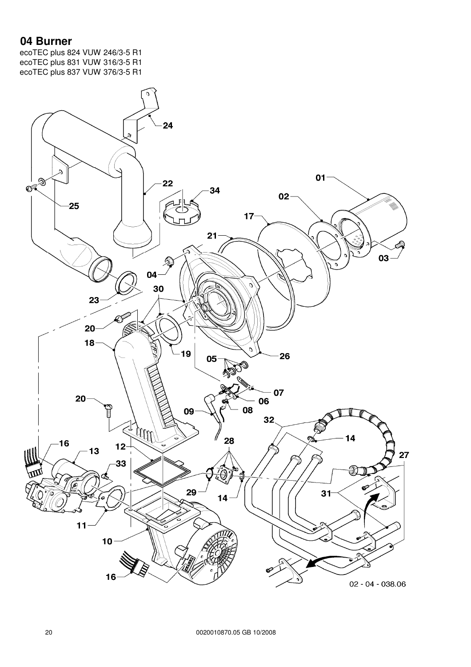#### **04 Burner**

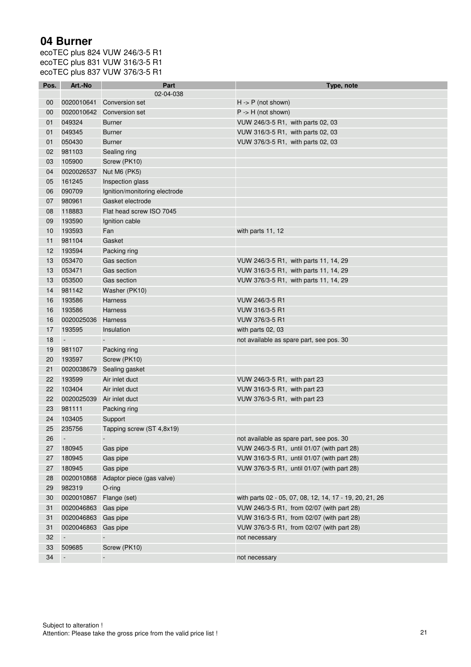## **04 Burner**

| Pos. | Art.-No                  | Part                          | Type, note                                              |
|------|--------------------------|-------------------------------|---------------------------------------------------------|
|      |                          | 02-04-038                     |                                                         |
| 00   | 0020010641               | Conversion set                | $H - P$ (not shown)                                     |
| 00   | 0020010642               | Conversion set                | $P \rightarrow H$ (not shown)                           |
| 01   | 049324                   | <b>Burner</b>                 | VUW 246/3-5 R1, with parts 02, 03                       |
| 01   | 049345                   | <b>Burner</b>                 | VUW 316/3-5 R1, with parts 02, 03                       |
| 01   | 050430                   | <b>Burner</b>                 | VUW 376/3-5 R1, with parts 02, 03                       |
| 02   | 981103                   | Sealing ring                  |                                                         |
| 03   | 105900                   | Screw (PK10)                  |                                                         |
| 04   | 0020026537               | Nut M6 (PK5)                  |                                                         |
| 05   | 161245                   | Inspection glass              |                                                         |
| 06   | 090709                   | Ignition/monitoring electrode |                                                         |
| 07   | 980961                   | Gasket electrode              |                                                         |
| 08   | 118883                   | Flat head screw ISO 7045      |                                                         |
| 09   | 193590                   | Ignition cable                |                                                         |
| 10   | 193593                   | Fan                           | with parts 11, 12                                       |
| 11   | 981104                   | Gasket                        |                                                         |
| 12   | 193594                   | Packing ring                  |                                                         |
| 13   | 053470                   | Gas section                   | VUW 246/3-5 R1, with parts 11, 14, 29                   |
| 13   | 053471                   | Gas section                   | VUW 316/3-5 R1, with parts 11, 14, 29                   |
| 13   | 053500                   | Gas section                   | VUW 376/3-5 R1, with parts 11, 14, 29                   |
| 14   | 981142                   | Washer (PK10)                 |                                                         |
| 16   | 193586                   | <b>Harness</b>                | VUW 246/3-5 R1                                          |
| 16   | 193586                   | <b>Harness</b>                | VUW 316/3-5 R1                                          |
| 16   | 0020025036               | Harness                       | VUW 376/3-5 R1                                          |
| 17   | 193595                   | Insulation                    | with parts 02, 03                                       |
| 18   | $\overline{\phantom{a}}$ |                               | not available as spare part, see pos. 30                |
| 19   | 981107                   | Packing ring                  |                                                         |
| 20   | 193597                   | Screw (PK10)                  |                                                         |
| 21   | 0020038679               | Sealing gasket                |                                                         |
| 22   | 193599                   | Air inlet duct                | VUW 246/3-5 R1, with part 23                            |
| 22   | 103404                   | Air inlet duct                | VUW 316/3-5 R1, with part 23                            |
| 22   | 0020025039               | Air inlet duct                | VUW 376/3-5 R1, with part 23                            |
| 23   | 981111                   | Packing ring                  |                                                         |
| 24   | 103405                   | Support                       |                                                         |
| 25   | 235756                   | Tapping screw (ST 4,8x19)     |                                                         |
| 26   | $\overline{\phantom{a}}$ |                               | not available as spare part, see pos. 30                |
| 27   | 180945                   | Gas pipe                      | VUW 246/3-5 R1, until 01/07 (with part 28)              |
| 27   | 180945                   | Gas pipe                      | VUW 316/3-5 R1, until 01/07 (with part 28)              |
| 27   | 180945                   | Gas pipe                      | VUW 376/3-5 R1, until 01/07 (with part 28)              |
| 28   | 0020010868               | Adaptor piece (gas valve)     |                                                         |
| 29   | 982319                   | $O$ -ring                     |                                                         |
| 30   | 0020010867 Flange (set)  |                               | with parts 02 - 05, 07, 08, 12, 14, 17 - 19, 20, 21, 26 |
| 31   | 0020046863 Gas pipe      |                               | VUW 246/3-5 R1, from 02/07 (with part 28)               |
| 31   | 0020046863               | Gas pipe                      | VUW 316/3-5 R1, from 02/07 (with part 28)               |
| 31   | 0020046863               | Gas pipe                      | VUW 376/3-5 R1, from 02/07 (with part 28)               |
| 32   |                          |                               | not necessary                                           |
| 33   | 509685                   | Screw (PK10)                  |                                                         |
| 34   | $\overline{\phantom{a}}$ |                               | not necessary                                           |
|      |                          |                               |                                                         |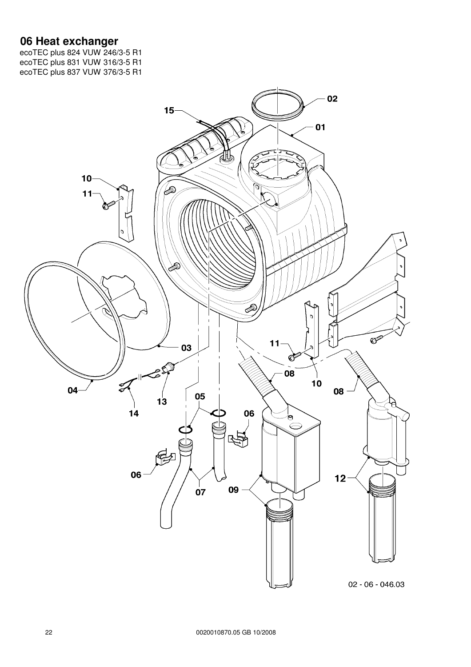#### **06 Heat exchanger**

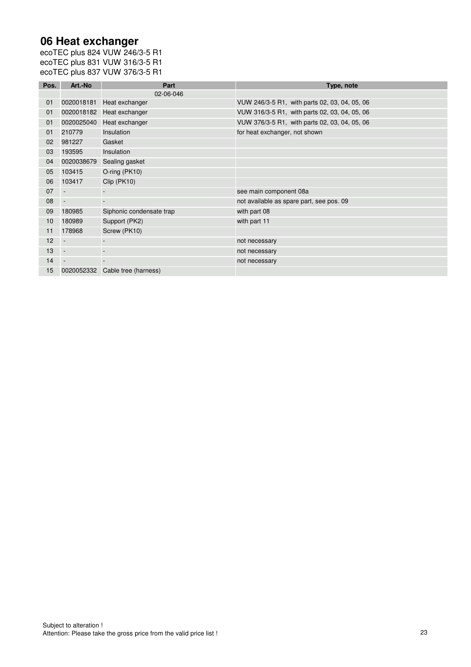#### **06 Heat exchanger**

| Pos. | Art.-No                  | Part                     | Type, note                                    |
|------|--------------------------|--------------------------|-----------------------------------------------|
|      |                          | 02-06-046                |                                               |
| 01   | 0020018181               | Heat exchanger           | VUW 246/3-5 R1, with parts 02, 03, 04, 05, 06 |
| 01   | 0020018182               | Heat exchanger           | VUW 316/3-5 R1, with parts 02, 03, 04, 05, 06 |
| 01   | 0020025040               | Heat exchanger           | VUW 376/3-5 R1, with parts 02, 03, 04, 05, 06 |
| 01   | 210779                   | Insulation               | for heat exchanger, not shown                 |
| 02   | 981227                   | Gasket                   |                                               |
| 03   | 193595                   | Insulation               |                                               |
| 04   | 0020038679               | Sealing gasket           |                                               |
| 05   | 103415                   | O-ring (PK10)            |                                               |
| 06   | 103417                   | Clip (PK10)              |                                               |
| 07   |                          |                          | see main component 08a                        |
| 08   | $\overline{\phantom{a}}$ |                          | not available as spare part, see pos. 09      |
| 09   | 180985                   | Siphonic condensate trap | with part 08                                  |
| 10   | 180989                   | Support (PK2)            | with part 11                                  |
| 11   | 178968                   | Screw (PK10)             |                                               |
| 12   |                          |                          | not necessary                                 |
| 13   |                          |                          | not necessary                                 |
| 14   |                          |                          | not necessary                                 |
| 15   | 0020052332               | Cable tree (harness)     |                                               |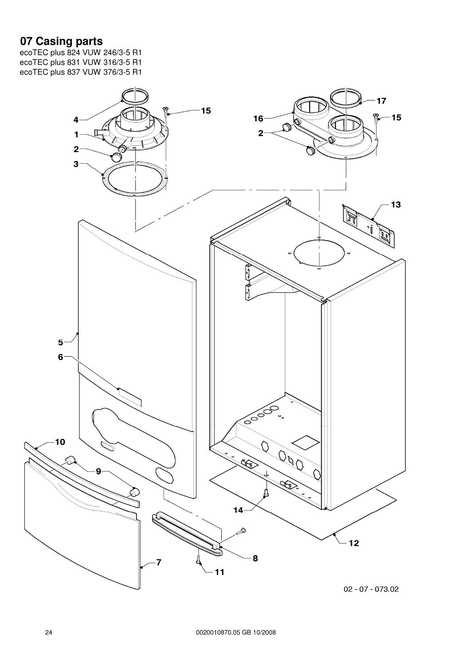## **07 Casing parts**

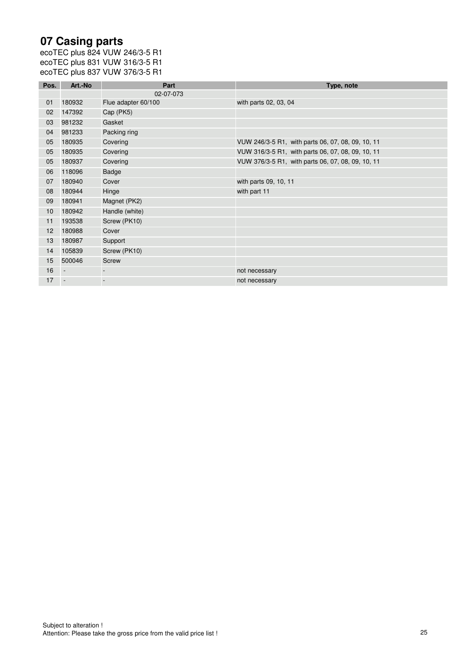## **07 Casing parts**

| Pos. | Art.-No                  | Part                | Type, note                                        |
|------|--------------------------|---------------------|---------------------------------------------------|
|      |                          | 02-07-073           |                                                   |
| 01   | 180932                   | Flue adapter 60/100 | with parts 02, 03, 04                             |
| 02   | 147392                   | Cap (PK5)           |                                                   |
| 03   | 981232                   | Gasket              |                                                   |
| 04   | 981233                   | Packing ring        |                                                   |
| 05   | 180935                   | Covering            | VUW 246/3-5 R1, with parts 06, 07, 08, 09, 10, 11 |
| 05   | 180935                   | Covering            | VUW 316/3-5 R1, with parts 06, 07, 08, 09, 10, 11 |
| 05   | 180937                   | Covering            | VUW 376/3-5 R1, with parts 06, 07, 08, 09, 10, 11 |
| 06   | 118096                   | <b>Badge</b>        |                                                   |
| 07   | 180940                   | Cover               | with parts 09, 10, 11                             |
| 08   | 180944                   | Hinge               | with part 11                                      |
| 09   | 180941                   | Magnet (PK2)        |                                                   |
| 10   | 180942                   | Handle (white)      |                                                   |
| 11   | 193538                   | Screw (PK10)        |                                                   |
| 12   | 180988                   | Cover               |                                                   |
| 13   | 180987                   | Support             |                                                   |
| 14   | 105839                   | Screw (PK10)        |                                                   |
| 15   | 500046                   | Screw               |                                                   |
| 16   | $\overline{\phantom{a}}$ |                     | not necessary                                     |
| 17   |                          |                     | not necessary                                     |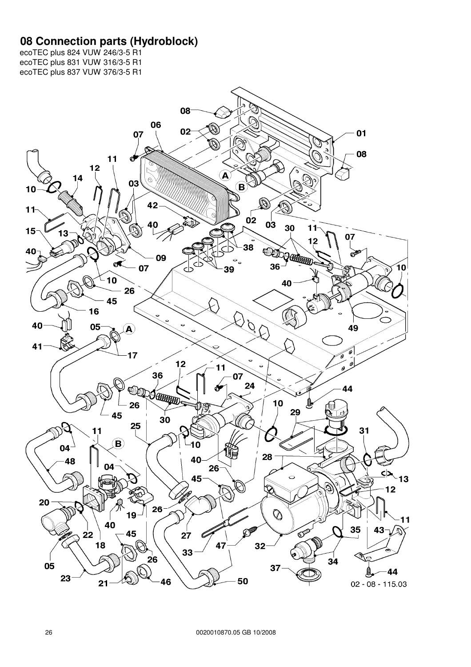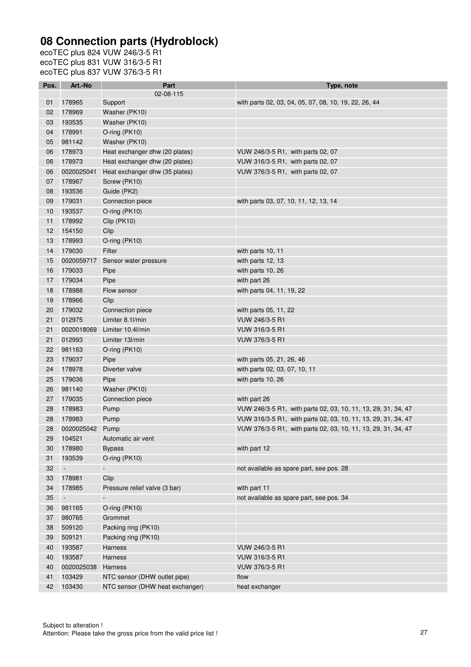| Pos. | Art.-No    | Part                            | Type, note                                                    |
|------|------------|---------------------------------|---------------------------------------------------------------|
|      |            | 02-08-115                       |                                                               |
| 01   | 178965     | Support                         | with parts 02, 03, 04, 05, 07, 08, 10, 19, 22, 26, 44         |
| 02   | 178969     | Washer (PK10)                   |                                                               |
| 03   | 193535     | Washer (PK10)                   |                                                               |
| 04   | 178991     | O-ring (PK10)                   |                                                               |
| 05   | 981142     | Washer (PK10)                   |                                                               |
| 06   | 178973     | Heat exchanger dhw (20 plates)  | VUW 246/3-5 R1, with parts 02, 07                             |
| 06   | 178973     | Heat exchanger dhw (20 plates)  | VUW 316/3-5 R1, with parts 02, 07                             |
| 06   | 0020025041 | Heat exchanger dhw (35 plates)  | VUW 376/3-5 R1, with parts 02, 07                             |
| 07   | 178967     | Screw (PK10)                    |                                                               |
| 08   | 193536     | Guide (PK2)                     |                                                               |
| 09   | 179031     | Connection piece                | with parts 03, 07, 10, 11, 12, 13, 14                         |
| 10   | 193537     | O-ring (PK10)                   |                                                               |
| 11   | 178992     | Clip (PK10)                     |                                                               |
| 12   | 154150     | Clip                            |                                                               |
| 13   | 178993     | O-ring (PK10)                   |                                                               |
| 14   | 179030     | Filter                          | with parts 10, 11                                             |
| 15   | 0020059717 | Sensor water pressure           | with parts 12, 13                                             |
| 16   | 179033     | Pipe                            | with parts 10, 26                                             |
| 17   | 179034     | Pipe                            | with part 26                                                  |
| 18   | 178988     | Flow sensor                     | with parts 04, 11, 19, 22                                     |
| 19   | 178966     | Clip                            |                                                               |
| 20   | 179032     | Connection piece                | with parts 05, 11, 22                                         |
| 21   | 012975     | Limiter 8.1l/min                | VUW 246/3-5 R1                                                |
| 21   | 0020018069 | Limiter 10.4l/min               | VUW 316/3-5 R1                                                |
| 21   | 012993     | Limiter 13l/min                 | VUW 376/3-5 R1                                                |
| 22   | 981163     | O-ring (PK10)                   |                                                               |
| 23   | 179037     | Pipe                            | with parts 05, 21, 26, 46                                     |
| 24   | 178978     | Diverter valve                  | with parts 02, 03, 07, 10, 11                                 |
| 25   | 179036     | Pipe                            | with parts 10, 26                                             |
| 26   | 981140     | Washer (PK10)                   |                                                               |
| 27   | 179035     | Connection piece                | with part 26                                                  |
| 28   | 178983     | Pump                            | VUW 246/3-5 R1, with parts 02, 03, 10, 11, 13, 29, 31, 34, 47 |
| 28   | 178983     | Pump                            | VUW 316/3-5 R1, with parts 02, 03, 10, 11, 13, 29, 31, 34, 47 |
| 28   | 0020025042 | Pump                            | VUW 376/3-5 R1, with parts 02, 03, 10, 11, 13, 29, 31, 34, 47 |
| 29   | 104521     | Automatic air vent              |                                                               |
| 30   | 178980     | <b>Bypass</b>                   | with part 12                                                  |
| 31   | 193539     | O-ring (PK10)                   |                                                               |
| 32   | $\Box$     | $\Box$                          | not available as spare part, see pos. 28                      |
| 33   | 178981     | Clip                            |                                                               |
| 34   | 178985     | Pressure relief valve (3 bar)   | with part 11                                                  |
| 35   | $\Box$     |                                 | not available as spare part, see pos. 34                      |
| 36   | 981165     | O-ring (PK10)                   |                                                               |
| 37   | 980765     | Grommet                         |                                                               |
| 38   | 509120     | Packing ring (PK10)             |                                                               |
| 39   | 509121     | Packing ring (PK10)             |                                                               |
| 40   | 193587     | <b>Harness</b>                  | VUW 246/3-5 R1                                                |
| 40   | 193587     | Harness                         | VUW 316/3-5 R1                                                |
| 40   | 0020025038 | Harness                         | VUW 376/3-5 R1                                                |
| 41   | 103429     | NTC sensor (DHW outlet pipe)    | flow                                                          |
| 42   | 103430     | NTC sensor (DHW heat exchanger) | heat exchanger                                                |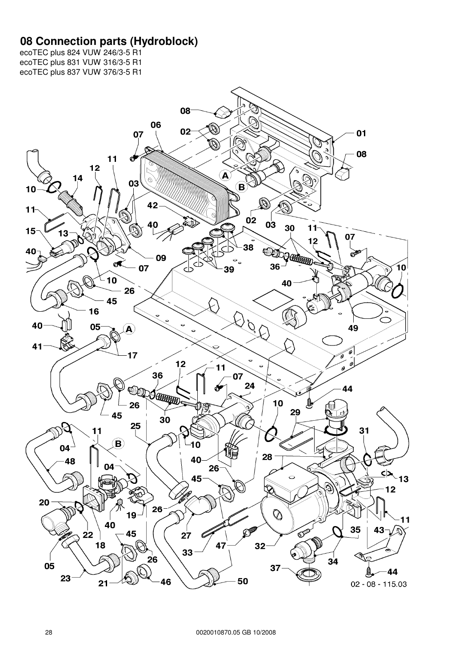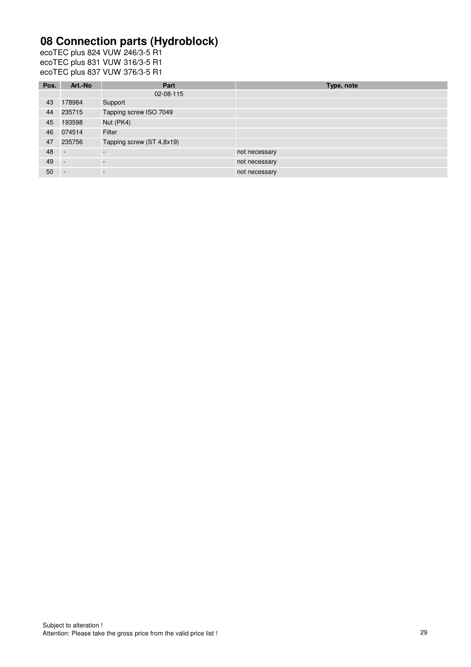| Pos. | Art.-No                  | Part                      | Type, note    |
|------|--------------------------|---------------------------|---------------|
|      |                          | 02-08-115                 |               |
| 43   | 178984                   | Support                   |               |
| 44   | 235715                   | Tapping screw ISO 7049    |               |
| 45   | 193598                   | Nut (PK4)                 |               |
| 46   | 074514                   | Filter                    |               |
| 47   | 235756                   | Tapping screw (ST 4,8x19) |               |
| 48   | $\overline{\phantom{a}}$ |                           | not necessary |
| 49   |                          |                           | not necessary |
| 50   | $\overline{\phantom{a}}$ |                           | not necessary |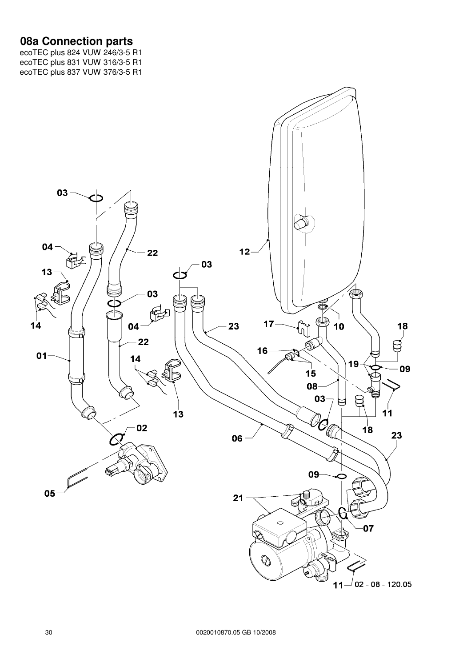#### **08a Connection parts**

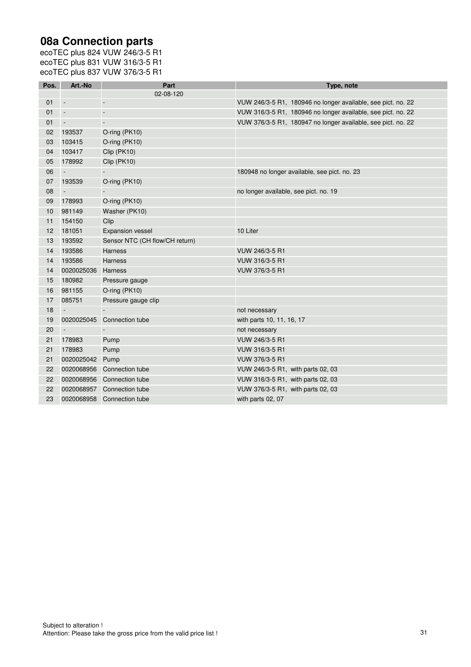## **08a Connection parts**

| Pos. | Art.-No                     | Part                           | Type, note                                                   |
|------|-----------------------------|--------------------------------|--------------------------------------------------------------|
|      |                             | 02-08-120                      |                                                              |
| 01   | $\overline{\phantom{a}}$    | ÷,                             | VUW 246/3-5 R1, 180946 no longer available, see pict. no. 22 |
| 01   | $\sim$                      | $\overline{a}$                 | VUW 316/3-5 R1, 180946 no longer available, see pict. no. 22 |
| 01   | $\overline{\phantom{a}}$    | $\overline{a}$                 | VUW 376/3-5 R1, 180947 no longer available, see pict. no. 22 |
| 02   | 193537                      | O-ring (PK10)                  |                                                              |
| 03   | 103415                      | O-ring (PK10)                  |                                                              |
| 04   | 103417                      | Clip (PK10)                    |                                                              |
| 05   | 178992                      | Clip (PK10)                    |                                                              |
| 06   | $\Box$                      |                                | 180948 no longer available, see pict. no. 23                 |
| 07   | 193539                      | O-ring (PK10)                  |                                                              |
| 08   | $\mathcal{L}_{\mathcal{A}}$ |                                | no longer available, see pict. no. 19                        |
| 09   | 178993                      | O-ring (PK10)                  |                                                              |
| 10   | 981149                      | Washer (PK10)                  |                                                              |
| 11   | 154150                      | Clip                           |                                                              |
| 12   | 181051                      | <b>Expansion vessel</b>        | 10 Liter                                                     |
| 13   | 193592                      | Sensor NTC (CH flow/CH return) |                                                              |
| 14   | 193586                      | <b>Harness</b>                 | VUW 246/3-5 R1                                               |
| 14   | 193586                      | <b>Harness</b>                 | VUW 316/3-5 R1                                               |
| 14   | 0020025036                  | Harness                        | VUW 376/3-5 R1                                               |
| 15   | 180982                      | Pressure gauge                 |                                                              |
| 16   | 981155                      | O-ring (PK10)                  |                                                              |
| 17   | 085751                      | Pressure gauge clip            |                                                              |
| 18   | $\sim$                      |                                | not necessary                                                |
| 19   | 0020025045                  | Connection tube                | with parts 10, 11, 16, 17                                    |
| 20   | $\overline{\phantom{a}}$    |                                | not necessary                                                |
| 21   | 178983                      | Pump                           | VUW 246/3-5 R1                                               |
| 21   | 178983                      | Pump                           | VUW 316/3-5 R1                                               |
| 21   | 0020025042                  | Pump                           | VUW 376/3-5 R1                                               |
| 22   |                             | 0020068956 Connection tube     | VUW 246/3-5 R1, with parts 02, 03                            |
| 22   | 0020068956                  | Connection tube                | VUW 316/3-5 R1, with parts 02, 03                            |
| 22   | 0020068957                  | Connection tube                | VUW 376/3-5 R1, with parts 02, 03                            |
| 23   |                             | 0020068958 Connection tube     | with parts 02, 07                                            |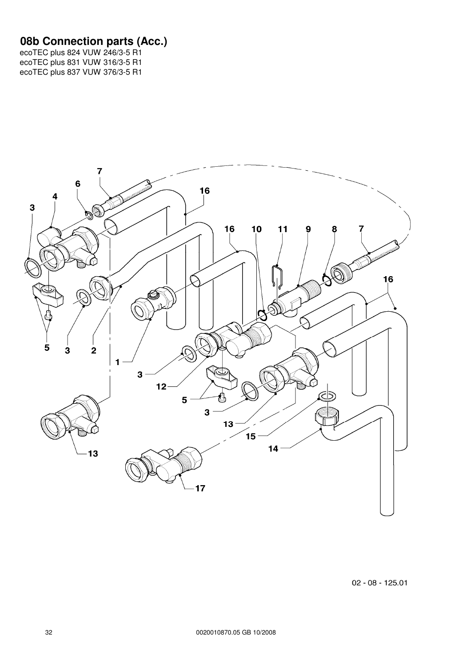#### **08b Connection parts (Acc.)**



 $02 - 08 - 125.01$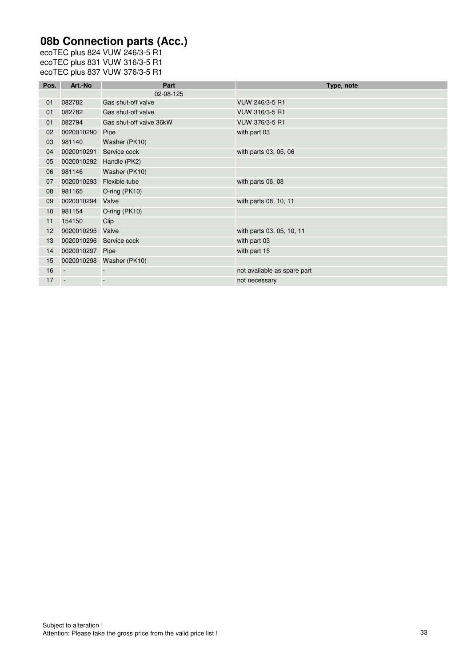## **08b Connection parts (Acc.)**

| Pos. | Art.-No                  | Part                    | Type, note                  |
|------|--------------------------|-------------------------|-----------------------------|
|      |                          | 02-08-125               |                             |
| 01   | 082782                   | Gas shut-off valve      | VUW 246/3-5 R1              |
| 01   | 082782                   | Gas shut-off valve      | VUW 316/3-5 R1              |
| 01   | 082794                   | Gas shut-off valve 36kW | VUW 376/3-5 R1              |
| 02   | 0020010290               | Pipe                    | with part 03                |
| 03   | 981140                   | Washer (PK10)           |                             |
| 04   | 0020010291               | Service cock            | with parts 03, 05, 06       |
| 05   | 0020010292               | Handle (PK2)            |                             |
| 06   | 981146                   | Washer (PK10)           |                             |
| 07   | 0020010293               | Flexible tube           | with parts 06, 08           |
| 08   | 981165                   | O-ring (PK10)           |                             |
| 09   | 0020010294               | Valve                   | with parts 08, 10, 11       |
| 10   | 981154                   | O-ring (PK10)           |                             |
| 11   | 154150                   | Clip                    |                             |
| 12   | 0020010295               | Valve                   | with parts 03, 05, 10, 11   |
| 13   | 0020010296               | Service cock            | with part 03                |
| 14   | 0020010297               | Pipe                    | with part 15                |
| 15   | 0020010298               | Washer (PK10)           |                             |
| 16   | $\overline{\phantom{a}}$ |                         | not available as spare part |
| 17   |                          |                         | not necessary               |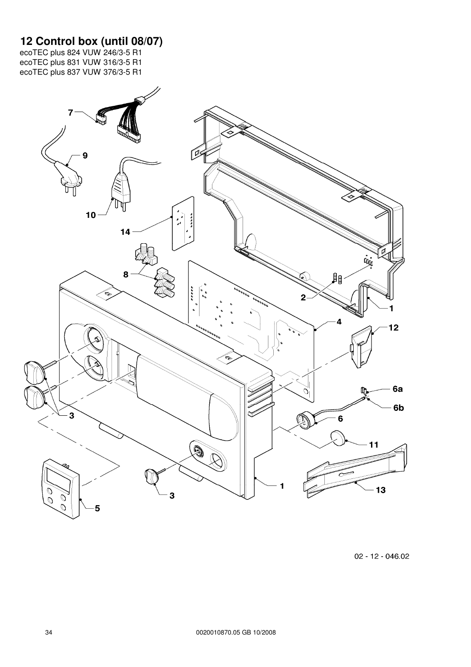#### **12 Control box (until 08/07)**

ecoTEC plus 824 VUW 246/3-5 R1 ecoTEC plus 831 VUW 316/3-5 R1 ecoTEC plus 837 VUW 376/3-5 R1



02 - 12 - 046.02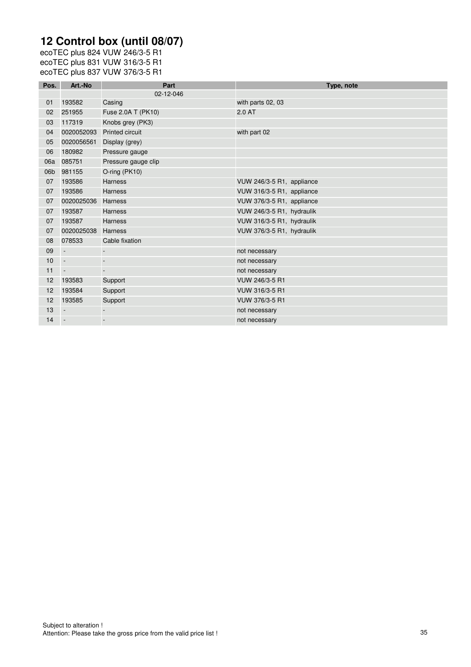# **12 Control box (until 08/07)**

ecoTEC plus 824 VUW 246/3-5 R1 ecoTEC plus 831 VUW 316/3-5 R1 ecoTEC plus 837 VUW 376/3-5 R1

| Pos.            | Art.-No                  | Part                     | Type, note                |
|-----------------|--------------------------|--------------------------|---------------------------|
|                 |                          | 02-12-046                |                           |
| 01              | 193582                   | Casing                   | with parts 02, 03         |
| 02              | 251955                   | Fuse 2.0A T (PK10)       | 2.0 AT                    |
| 03              | 117319                   | Knobs grey (PK3)         |                           |
| 04              | 0020052093               | <b>Printed circuit</b>   | with part 02              |
| 05              | 0020056561               | Display (grey)           |                           |
| 06              | 180982                   | Pressure gauge           |                           |
| 06a             | 085751                   | Pressure gauge clip      |                           |
| 06 <sub>b</sub> | 981155                   | O-ring (PK10)            |                           |
| 07              | 193586                   | <b>Harness</b>           | VUW 246/3-5 R1, appliance |
| 07              | 193586                   | <b>Harness</b>           | VUW 316/3-5 R1, appliance |
| 07              | 0020025036               | <b>Harness</b>           | VUW 376/3-5 R1, appliance |
| 07              | 193587                   | <b>Harness</b>           | VUW 246/3-5 R1, hydraulik |
| 07              | 193587                   | <b>Harness</b>           | VUW 316/3-5 R1, hydraulik |
| 07              | 0020025038               | <b>Harness</b>           | VUW 376/3-5 R1, hydraulik |
| 08              | 078533                   | Cable fixation           |                           |
| 09              | $\overline{\phantom{a}}$ | $\overline{\phantom{a}}$ | not necessary             |
| 10              | $\overline{\phantom{a}}$ | ÷,                       | not necessary             |
| 11              | $\overline{\phantom{a}}$ | $\overline{a}$           | not necessary             |
| 12              | 193583                   | Support                  | VUW 246/3-5 R1            |
| 12              | 193584                   | Support                  | VUW 316/3-5 R1            |
| 12              | 193585                   | Support                  | VUW 376/3-5 R1            |
| 13              | $\overline{\phantom{a}}$ | $\overline{\phantom{a}}$ | not necessary             |
| 14              | $\overline{\phantom{a}}$ | $\overline{a}$           | not necessary             |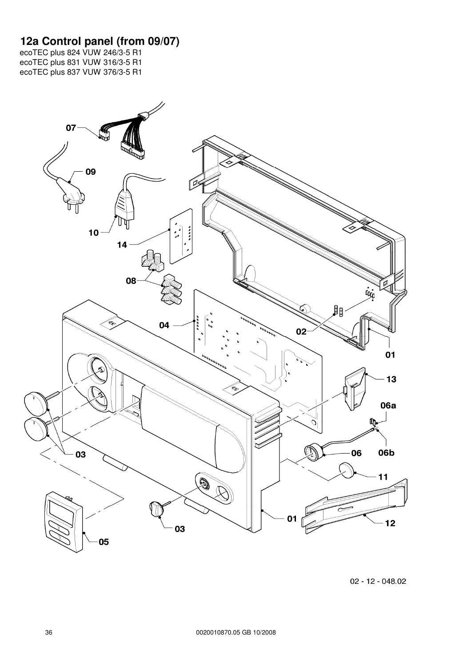#### **12a Control panel (from 09/07)**

ecoTEC plus 824 VUW 246/3-5 R1 ecoTEC plus 831 VUW 316/3-5 R1 ecoTEC plus 837 VUW 376/3-5 R1



02 - 12 - 048.02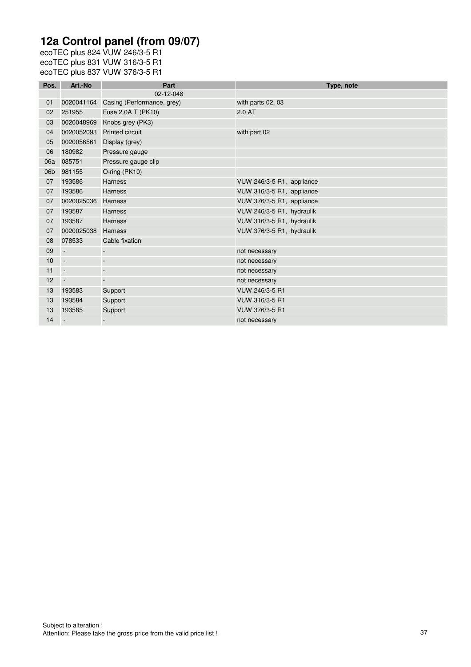# **12a Control panel (from 09/07)**

ecoTEC plus 824 VUW 246/3-5 R1 ecoTEC plus 831 VUW 316/3-5 R1 ecoTEC plus 837 VUW 376/3-5 R1

| Pos. | Art.-No                  | Part                       | Type, note                |
|------|--------------------------|----------------------------|---------------------------|
|      |                          | 02-12-048                  |                           |
| 01   | 0020041164               | Casing (Performance, grey) | with parts 02, 03         |
| 02   | 251955                   | Fuse 2.0A T (PK10)         | 2.0 AT                    |
| 03   | 0020048969               | Knobs grey (PK3)           |                           |
| 04   | 0020052093               | <b>Printed circuit</b>     | with part 02              |
| 05   | 0020056561               | Display (grey)             |                           |
| 06   | 180982                   | Pressure gauge             |                           |
| 06a  | 085751                   | Pressure gauge clip        |                           |
| 06b  | 981155                   | O-ring (PK10)              |                           |
| 07   | 193586                   | <b>Harness</b>             | VUW 246/3-5 R1, appliance |
| 07   | 193586                   | <b>Harness</b>             | VUW 316/3-5 R1, appliance |
| 07   | 0020025036               | <b>Harness</b>             | VUW 376/3-5 R1, appliance |
| 07   | 193587                   | <b>Harness</b>             | VUW 246/3-5 R1, hydraulik |
| 07   | 193587                   | <b>Harness</b>             | VUW 316/3-5 R1, hydraulik |
| 07   | 0020025038               | <b>Harness</b>             | VUW 376/3-5 R1, hydraulik |
| 08   | 078533                   | Cable fixation             |                           |
| 09   | $\overline{\phantom{a}}$ |                            | not necessary             |
| 10   | $\sim$                   |                            | not necessary             |
| 11   | $\sim$                   | $\overline{\phantom{a}}$   | not necessary             |
| 12   | $\sim$                   | $\overline{a}$             | not necessary             |
| 13   | 193583                   | Support                    | VUW 246/3-5 R1            |
| 13   | 193584                   | Support                    | VUW 316/3-5 R1            |
| 13   | 193585                   | Support                    | VUW 376/3-5 R1            |
| 14   | $\sim$                   |                            | not necessary             |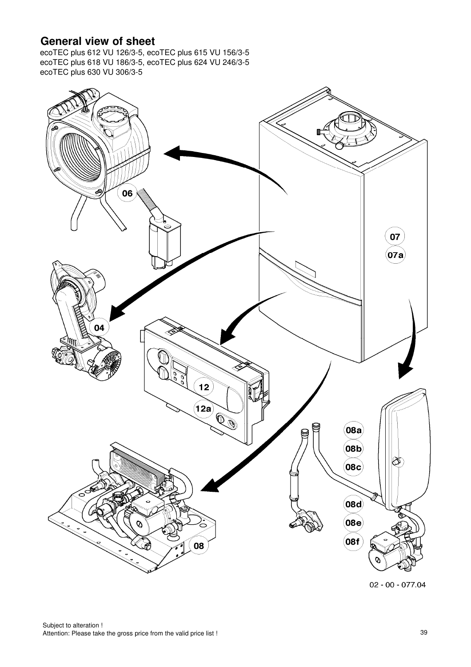### **General view of sheet**

ecoTEC plus 612 VU 126/3-5, ecoTEC plus 615 VU 156/3-5 ecoTEC plus 618 VU 186/3-5, ecoTEC plus 624 VU 246/3-5 ecoTEC plus 630 VU 306/3-5



 $02 - 00 - 077.04$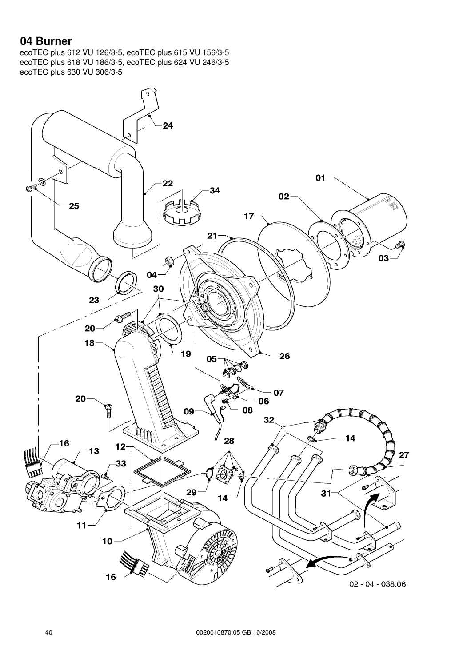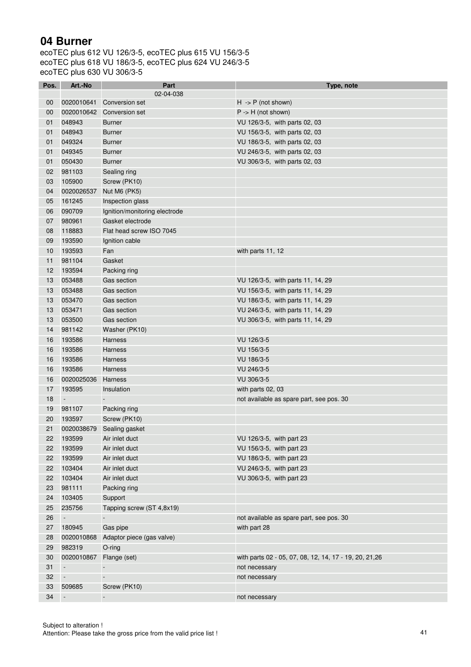| Pos.            | Art.-No                  | Part                          | Type, note                                              |
|-----------------|--------------------------|-------------------------------|---------------------------------------------------------|
|                 |                          | 02-04-038                     |                                                         |
| 00              | 0020010641               | <b>Conversion set</b>         | $H \rightarrow P$ (not shown)                           |
| 00              | 0020010642               | Conversion set                | $P \rightarrow H$ (not shown)                           |
| 01              | 048943                   | <b>Burner</b>                 | VU 126/3-5, with parts 02, 03                           |
| 01              | 048943                   | <b>Burner</b>                 | VU 156/3-5, with parts 02, 03                           |
| 01              | 049324                   | <b>Burner</b>                 | VU 186/3-5, with parts 02, 03                           |
| 01              | 049345                   | <b>Burner</b>                 | VU 246/3-5, with parts 02, 03                           |
| 01              | 050430                   | <b>Burner</b>                 | VU 306/3-5, with parts 02, 03                           |
| 02 <sub>2</sub> | 981103                   | Sealing ring                  |                                                         |
| 03              | 105900                   | Screw (PK10)                  |                                                         |
| 04              | 0020026537               | Nut M6 (PK5)                  |                                                         |
| 05              | 161245                   | Inspection glass              |                                                         |
| 06              | 090709                   | Ignition/monitoring electrode |                                                         |
| 07              | 980961                   | Gasket electrode              |                                                         |
| 08              | 118883                   | Flat head screw ISO 7045      |                                                         |
| 09              | 193590                   | Ignition cable                |                                                         |
| 10              | 193593                   | Fan                           | with parts 11, 12                                       |
| 11              | 981104                   | Gasket                        |                                                         |
| 12              | 193594                   | Packing ring                  |                                                         |
| 13              | 053488                   | Gas section                   | VU 126/3-5, with parts 11, 14, 29                       |
| 13              | 053488                   | Gas section                   | VU 156/3-5, with parts 11, 14, 29                       |
| 13              | 053470                   | Gas section                   | VU 186/3-5, with parts 11, 14, 29                       |
| 13              | 053471                   | Gas section                   | VU 246/3-5, with parts 11, 14, 29                       |
| 13              | 053500                   | Gas section                   | VU 306/3-5, with parts 11, 14, 29                       |
| 14              | 981142                   | Washer (PK10)                 |                                                         |
| 16              | 193586                   | <b>Harness</b>                | VU 126/3-5                                              |
| 16              | 193586                   | Harness                       | VU 156/3-5                                              |
| 16              | 193586                   | Harness                       | VU 186/3-5                                              |
| 16              | 193586                   | <b>Harness</b>                | VU 246/3-5                                              |
| 16              | 0020025036               | Harness                       | VU 306/3-5                                              |
| 17              | 193595                   | Insulation                    | with parts 02, 03                                       |
| 18              | $\overline{\phantom{a}}$ | $\overline{a}$                | not available as spare part, see pos. 30                |
| 19              | 981107                   | Packing ring                  |                                                         |
| 20              | 193597                   | Screw (PK10)                  |                                                         |
| 21              | 0020038679               | Sealing gasket                |                                                         |
| 22              | 193599                   | Air inlet duct                | VU 126/3-5, with part 23                                |
| 22              | 193599                   | Air inlet duct                | VU 156/3-5, with part 23                                |
| 22              | 193599                   | Air inlet duct                | VU 186/3-5, with part 23                                |
| 22              | 103404                   | Air inlet duct                | VU 246/3-5, with part 23                                |
| 22              | 103404                   | Air inlet duct                | VU 306/3-5, with part 23                                |
| 23              | 981111                   | Packing ring                  |                                                         |
| 24              | 103405                   | Support                       |                                                         |
| 25              | 235756                   | Tapping screw (ST 4,8x19)     |                                                         |
| 26              | $\Box$                   |                               |                                                         |
| 27              | 180945                   | Gas pipe                      | not available as spare part, see pos. 30                |
|                 |                          |                               | with part 28                                            |
| 28              | 0020010868               | Adaptor piece (gas valve)     |                                                         |
| 29              | 982319                   | O-ring                        |                                                         |
| 30              | 0020010867               | Flange (set)                  | with parts 02 - 05, 07, 08, 12, 14, 17 - 19, 20, 21, 26 |
| 31              | $\overline{\phantom{a}}$ |                               | not necessary                                           |
| 32              | $\Box$                   |                               | not necessary                                           |
| 33              | 509685                   | Screw (PK10)                  |                                                         |
| 34              | $\overline{\phantom{a}}$ | $\overline{\phantom{a}}$      | not necessary                                           |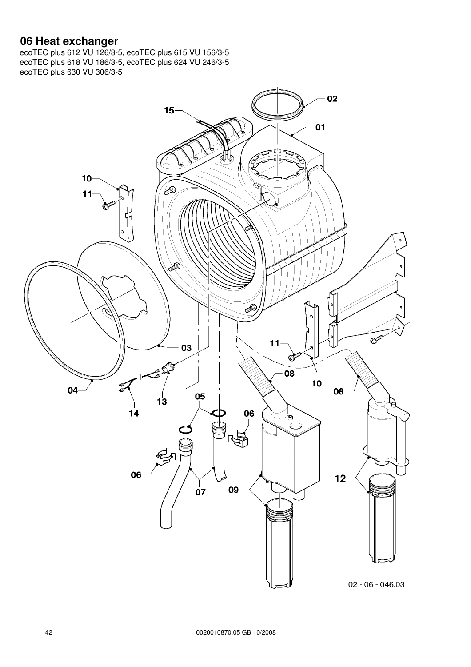#### **06 Heat exchanger**

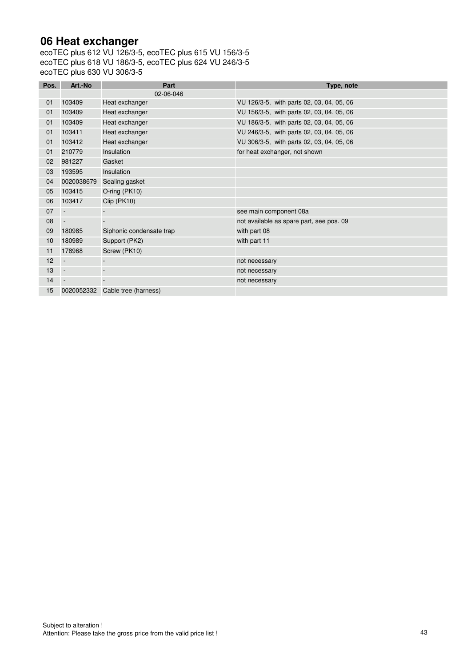### **06 Heat exchanger**

| Pos. | Art.-No                  | Part                     | Type, note                                |
|------|--------------------------|--------------------------|-------------------------------------------|
|      |                          | 02-06-046                |                                           |
| 01   | 103409                   | Heat exchanger           | VU 126/3-5, with parts 02, 03, 04, 05, 06 |
| 01   | 103409                   | Heat exchanger           | VU 156/3-5, with parts 02, 03, 04, 05, 06 |
| 01   | 103409                   | Heat exchanger           | VU 186/3-5, with parts 02, 03, 04, 05, 06 |
| 01   | 103411                   | Heat exchanger           | VU 246/3-5, with parts 02, 03, 04, 05, 06 |
| 01   | 103412                   | Heat exchanger           | VU 306/3-5, with parts 02, 03, 04, 05, 06 |
| 01   | 210779                   | Insulation               | for heat exchanger, not shown             |
| 02   | 981227                   | Gasket                   |                                           |
| 03   | 193595                   | Insulation               |                                           |
| 04   | 0020038679               | Sealing gasket           |                                           |
| 05   | 103415                   | O-ring (PK10)            |                                           |
| 06   | 103417                   | Clip (PK10)              |                                           |
| 07   | $\overline{\phantom{a}}$ |                          | see main component 08a                    |
| 08   | $\sim$                   |                          | not available as spare part, see pos. 09  |
| 09   | 180985                   | Siphonic condensate trap | with part 08                              |
| 10   | 180989                   | Support (PK2)            | with part 11                              |
| 11   | 178968                   | Screw (PK10)             |                                           |
| 12   | $\overline{\phantom{a}}$ |                          | not necessary                             |
| 13   | $\blacksquare$           |                          | not necessary                             |
| 14   | $\overline{\phantom{a}}$ |                          | not necessary                             |
| 15   | 0020052332               | Cable tree (harness)     |                                           |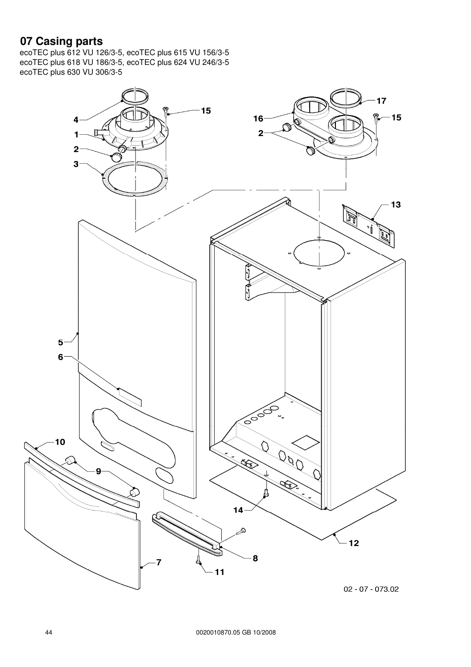## **07 Casing parts**

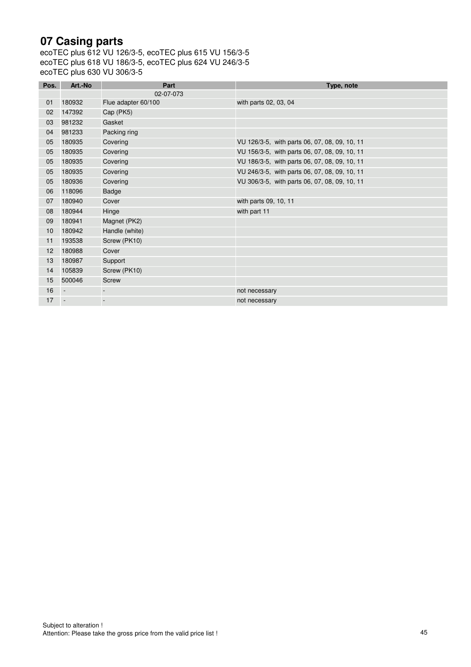## **07 Casing parts**

| Pos. | Art.-No                  | Part                | Type, note                                    |
|------|--------------------------|---------------------|-----------------------------------------------|
|      |                          | 02-07-073           |                                               |
| 01   | 180932                   | Flue adapter 60/100 | with parts 02, 03, 04                         |
| 02   | 147392                   | Cap (PK5)           |                                               |
| 03   | 981232                   | Gasket              |                                               |
| 04   | 981233                   | Packing ring        |                                               |
| 05   | 180935                   | Covering            | VU 126/3-5, with parts 06, 07, 08, 09, 10, 11 |
| 05   | 180935                   | Covering            | VU 156/3-5, with parts 06, 07, 08, 09, 10, 11 |
| 05   | 180935                   | Covering            | VU 186/3-5, with parts 06, 07, 08, 09, 10, 11 |
| 05   | 180935                   | Covering            | VU 246/3-5, with parts 06, 07, 08, 09, 10, 11 |
| 05   | 180936                   | Covering            | VU 306/3-5, with parts 06, 07, 08, 09, 10, 11 |
| 06   | 118096                   | Badge               |                                               |
| 07   | 180940                   | Cover               | with parts 09, 10, 11                         |
| 08   | 180944                   | Hinge               | with part 11                                  |
| 09   | 180941                   | Magnet (PK2)        |                                               |
| 10   | 180942                   | Handle (white)      |                                               |
| 11   | 193538                   | Screw (PK10)        |                                               |
| 12   | 180988                   | Cover               |                                               |
| 13   | 180987                   | Support             |                                               |
| 14   | 105839                   | Screw (PK10)        |                                               |
| 15   | 500046                   | Screw               |                                               |
| 16   | $\overline{\phantom{a}}$ |                     | not necessary                                 |
| 17   |                          |                     | not necessary                                 |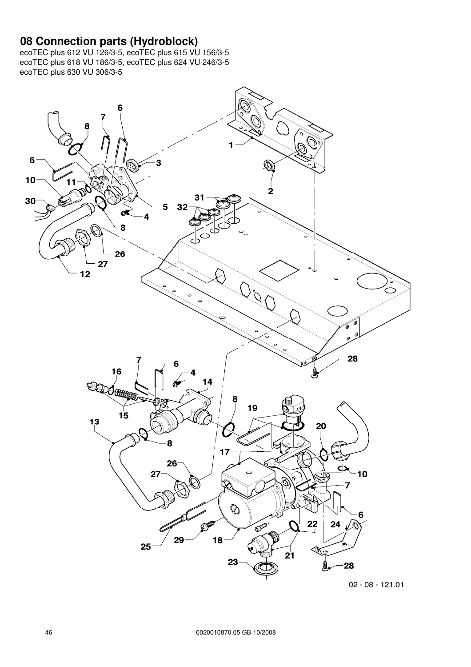#### **08 Connection parts (Hydroblock)**

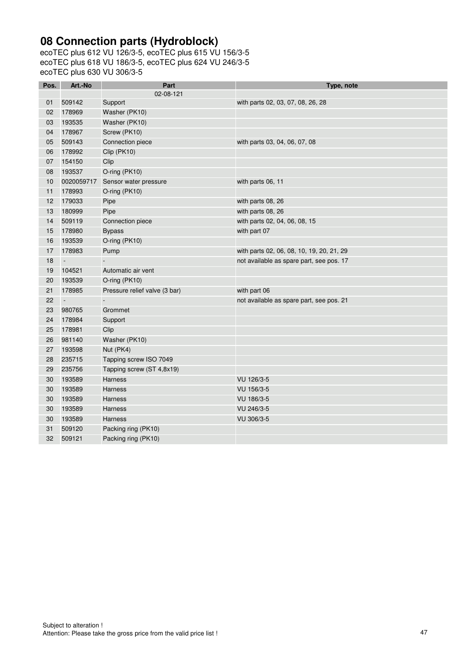## **08 Connection parts (Hydroblock)**

| Pos. | Art.-No    | Part                          | Type, note                                |
|------|------------|-------------------------------|-------------------------------------------|
|      |            | 02-08-121                     |                                           |
| 01   | 509142     | Support                       | with parts 02, 03, 07, 08, 26, 28         |
| 02   | 178969     | Washer (PK10)                 |                                           |
| 03   | 193535     | Washer (PK10)                 |                                           |
| 04   | 178967     | Screw (PK10)                  |                                           |
| 05   | 509143     | Connection piece              | with parts 03, 04, 06, 07, 08             |
| 06   | 178992     | Clip (PK10)                   |                                           |
| 07   | 154150     | Clip                          |                                           |
| 08   | 193537     | O-ring (PK10)                 |                                           |
| 10   | 0020059717 | Sensor water pressure         | with parts 06, 11                         |
| 11   | 178993     | O-ring (PK10)                 |                                           |
| 12   | 179033     | Pipe                          | with parts 08, 26                         |
| 13   | 180999     | Pipe                          | with parts 08, 26                         |
| 14   | 509119     | Connection piece              | with parts 02, 04, 06, 08, 15             |
| 15   | 178980     | <b>Bypass</b>                 | with part 07                              |
| 16   | 193539     | O-ring (PK10)                 |                                           |
| 17   | 178983     | Pump                          | with parts 02, 06, 08, 10, 19, 20, 21, 29 |
| 18   | $\Box$     |                               | not available as spare part, see pos. 17  |
| 19   | 104521     | Automatic air vent            |                                           |
| 20   | 193539     | O-ring (PK10)                 |                                           |
| 21   | 178985     | Pressure relief valve (3 bar) | with part 06                              |
| 22   | $\Box$     |                               | not available as spare part, see pos. 21  |
| 23   | 980765     | Grommet                       |                                           |
| 24   | 178984     | Support                       |                                           |
| 25   | 178981     | Clip                          |                                           |
| 26   | 981140     | Washer (PK10)                 |                                           |
| 27   | 193598     | Nut (PK4)                     |                                           |
| 28   | 235715     | Tapping screw ISO 7049        |                                           |
| 29   | 235756     | Tapping screw (ST 4,8x19)     |                                           |
| 30   | 193589     | <b>Harness</b>                | VU 126/3-5                                |
| 30   | 193589     | Harness                       | VU 156/3-5                                |
| 30   | 193589     | Harness                       | VU 186/3-5                                |
| 30   | 193589     | Harness                       | VU 246/3-5                                |
| 30   | 193589     | <b>Harness</b>                | VU 306/3-5                                |
| 31   | 509120     | Packing ring (PK10)           |                                           |
| 32   | 509121     | Packing ring (PK10)           |                                           |
|      |            |                               |                                           |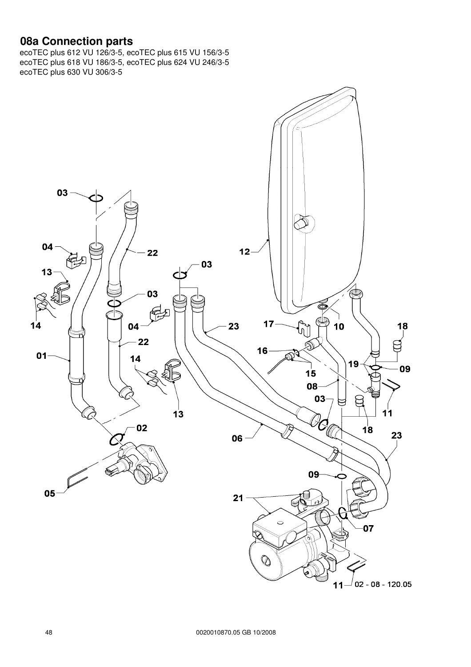#### **08a Connection parts**

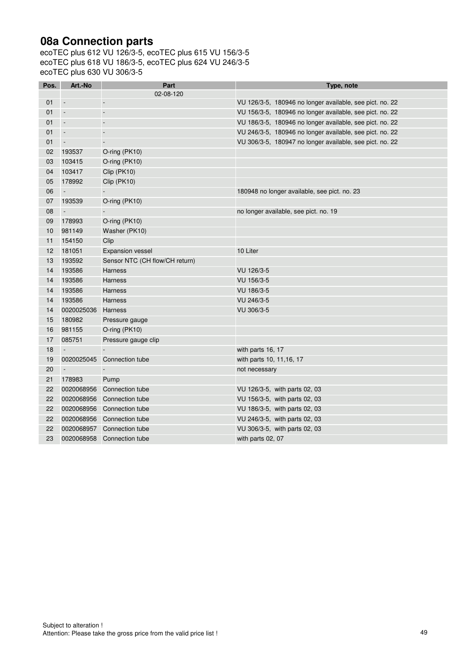## **08a Connection parts**

| Pos. | Art.-No                  | Part                           | Type, note                                               |
|------|--------------------------|--------------------------------|----------------------------------------------------------|
|      |                          | 02-08-120                      |                                                          |
| 01   | $\overline{\phantom{a}}$ | ÷,                             | VU 126/3-5, 180946 no longer available, see pict. no. 22 |
| 01   | $\Box$                   | $\overline{a}$                 | VU 156/3-5, 180946 no longer available, see pict. no. 22 |
| 01   | $\overline{\phantom{a}}$ | $\blacksquare$                 | VU 186/3-5, 180946 no longer available, see pict. no. 22 |
| 01   | $\overline{\phantom{a}}$ | $\overline{\phantom{a}}$       | VU 246/3-5, 180946 no longer available, see pict. no. 22 |
| 01   | $\overline{\phantom{a}}$ | $\frac{1}{2}$                  | VU 306/3-5, 180947 no longer available, see pict. no. 22 |
| 02   | 193537                   | O-ring (PK10)                  |                                                          |
| 03   | 103415                   | O-ring (PK10)                  |                                                          |
| 04   | 103417                   | Clip (PK10)                    |                                                          |
| 05   | 178992                   | Clip (PK10)                    |                                                          |
| 06   | $\Box$                   | $\overline{\phantom{a}}$       | 180948 no longer available, see pict. no. 23             |
| 07   | 193539                   | O-ring (PK10)                  |                                                          |
| 08   | $\Box$                   |                                | no longer available, see pict. no. 19                    |
| 09   | 178993                   | O-ring (PK10)                  |                                                          |
| 10   | 981149                   | Washer (PK10)                  |                                                          |
| 11   | 154150                   | Clip                           |                                                          |
| 12   | 181051                   | <b>Expansion vessel</b>        | 10 Liter                                                 |
| 13   | 193592                   | Sensor NTC (CH flow/CH return) |                                                          |
| 14   | 193586                   | <b>Harness</b>                 | VU 126/3-5                                               |
| 14   | 193586                   | <b>Harness</b>                 | VU 156/3-5                                               |
| 14   | 193586                   | <b>Harness</b>                 | VU 186/3-5                                               |
| 14   | 193586                   | <b>Harness</b>                 | VU 246/3-5                                               |
| 14   | 0020025036               | <b>Harness</b>                 | VU 306/3-5                                               |
| 15   | 180982                   | Pressure gauge                 |                                                          |
| 16   | 981155                   | O-ring (PK10)                  |                                                          |
| 17   | 085751                   | Pressure gauge clip            |                                                          |
| 18   |                          |                                | with parts 16, 17                                        |
| 19   | 0020025045               | Connection tube                | with parts 10, 11, 16, 17                                |
| 20   | $\overline{\phantom{a}}$ |                                | not necessary                                            |
| 21   | 178983                   | Pump                           |                                                          |
| 22   | 0020068956               | Connection tube                | VU 126/3-5, with parts 02, 03                            |
| 22   | 0020068956               | Connection tube                | VU 156/3-5, with parts 02, 03                            |
| 22   | 0020068956               | Connection tube                | VU 186/3-5, with parts 02, 03                            |
| 22   | 0020068956               | Connection tube                | VU 246/3-5, with parts 02, 03                            |
| 22   | 0020068957               | Connection tube                | VU 306/3-5, with parts 02, 03                            |
| 23   |                          | 0020068958 Connection tube     | with parts 02, 07                                        |
|      |                          |                                |                                                          |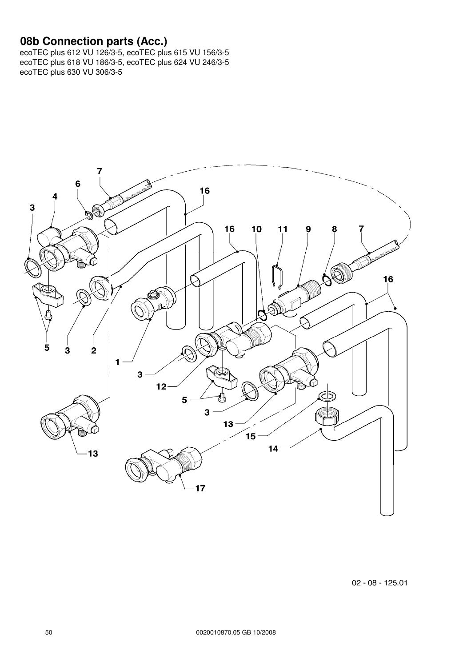#### **08b Connection parts (Acc.)**



 $02 - 08 - 125.01$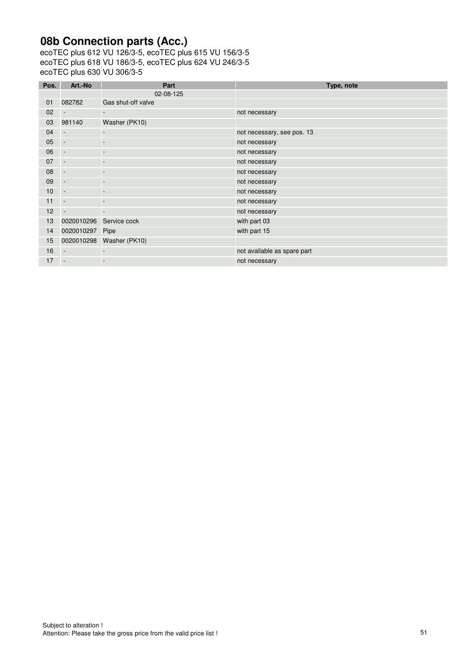# **08b Connection parts (Acc.)**

| Pos. | Art.-No                  | Part               | Type, note                  |
|------|--------------------------|--------------------|-----------------------------|
|      |                          | 02-08-125          |                             |
| 01   | 082782                   | Gas shut-off valve |                             |
| 02   |                          |                    | not necessary               |
| 03   | 981140                   | Washer (PK10)      |                             |
| 04   | $\overline{\phantom{a}}$ |                    | not necessary, see pos. 13  |
| 05   | $\overline{\phantom{a}}$ |                    | not necessary               |
| 06   | $\overline{\phantom{a}}$ |                    | not necessary               |
| 07   | $\overline{\phantom{a}}$ |                    | not necessary               |
| 08   | $\overline{\phantom{a}}$ |                    | not necessary               |
| 09   | $\overline{\phantom{a}}$ |                    | not necessary               |
| 10   | $\overline{\phantom{a}}$ |                    | not necessary               |
| 11   | $\overline{\phantom{a}}$ |                    | not necessary               |
| 12   |                          |                    | not necessary               |
| 13   | 0020010296               | Service cock       | with part 03                |
| 14   | 0020010297 Pipe          |                    | with part 15                |
| 15   | 0020010298               | Washer (PK10)      |                             |
| 16   | $\sim$                   |                    | not available as spare part |
| 17   | $\overline{\phantom{a}}$ |                    | not necessary               |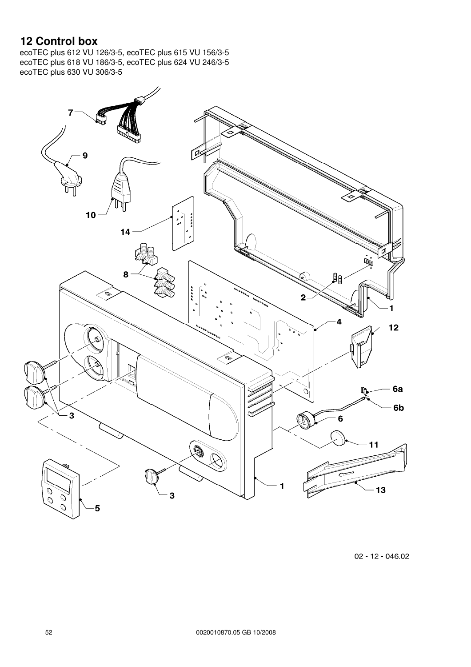# **12 Control box**

ecoTEC plus 612 VU 126/3-5, ecoTEC plus 615 VU 156/3-5 ecoTEC plus 618 VU 186/3-5, ecoTEC plus 624 VU 246/3-5 ecoTEC plus 630 VU 306/3-5



02 - 12 - 046.02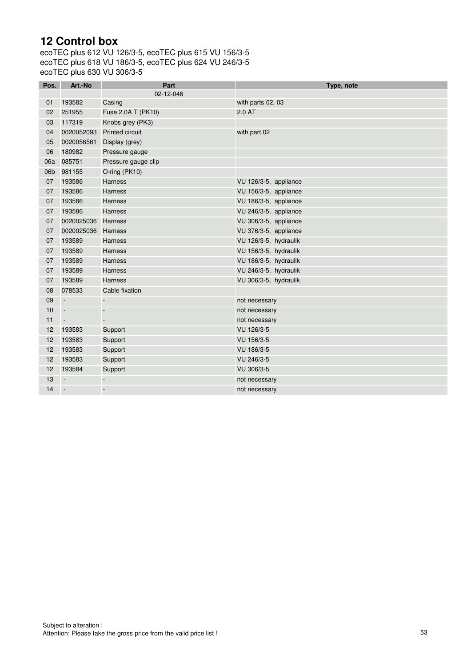## **12 Control box**

| Pos. | Art.-No                     | Part                     | Type, note            |
|------|-----------------------------|--------------------------|-----------------------|
|      |                             | 02-12-046                |                       |
| 01   | 193582                      | Casing                   | with parts 02, 03     |
| 02   | 251955                      | Fuse 2.0A T (PK10)       | 2.0 AT                |
| 03   | 117319                      | Knobs grey (PK3)         |                       |
| 04   | 0020052093                  | <b>Printed circuit</b>   | with part 02          |
| 05   | 0020056561                  | Display (grey)           |                       |
| 06   | 180982                      | Pressure gauge           |                       |
| 06a  | 085751                      | Pressure gauge clip      |                       |
| 06b  | 981155                      | O-ring (PK10)            |                       |
| 07   | 193586                      | <b>Harness</b>           | VU 126/3-5, appliance |
| 07   | 193586                      | <b>Harness</b>           | VU 156/3-5, appliance |
| 07   | 193586                      | <b>Harness</b>           | VU 186/3-5, appliance |
| 07   | 193586                      | <b>Harness</b>           | VU 246/3-5, appliance |
| 07   | 0020025036                  | Harness                  | VU 306/3-5, appliance |
| 07   | 0020025036                  | <b>Harness</b>           | VU 376/3-5, appliance |
| 07   | 193589                      | <b>Harness</b>           | VU 126/3-5, hydraulik |
| 07   | 193589                      | Harness                  | VU 156/3-5, hydraulik |
| 07   | 193589                      | <b>Harness</b>           | VU 186/3-5, hydraulik |
| 07   | 193589                      | <b>Harness</b>           | VU 246/3-5, hydraulik |
| 07   | 193589                      | Harness                  | VU 306/3-5, hydraulik |
| 08   | 078533                      | Cable fixation           |                       |
| 09   | $\Box$                      | ÷                        | not necessary         |
| 10   | $\sim$                      | $\overline{\phantom{a}}$ | not necessary         |
| 11   | $\mathcal{L}_{\mathcal{A}}$ | $\overline{\phantom{a}}$ | not necessary         |
| 12   | 193583                      | Support                  | VU 126/3-5            |
| 12   | 193583                      | Support                  | VU 156/3-5            |
| 12   | 193583                      | Support                  | VU 186/3-5            |
| 12   | 193583                      | Support                  | VU 246/3-5            |
| 12   | 193584                      | Support                  | VU 306/3-5            |
| 13   | $\sim$                      |                          | not necessary         |
| 14   | $\overline{\phantom{a}}$    | $\Box$                   | not necessary         |
|      |                             |                          |                       |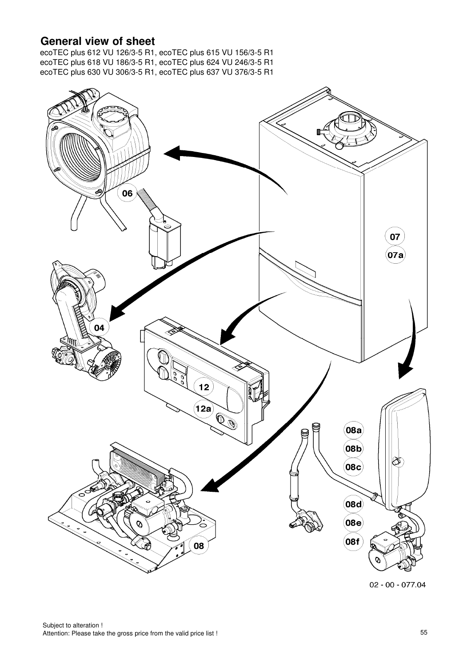### **General view of sheet**

ecoTEC plus 612 VU 126/3-5 R1, ecoTEC plus 615 VU 156/3-5 R1 ecoTEC plus 618 VU 186/3-5 R1, ecoTEC plus 624 VU 246/3-5 R1 ecoTEC plus 630 VU 306/3-5 R1, ecoTEC plus 637 VU 376/3-5 R1



 $02 - 00 - 077.04$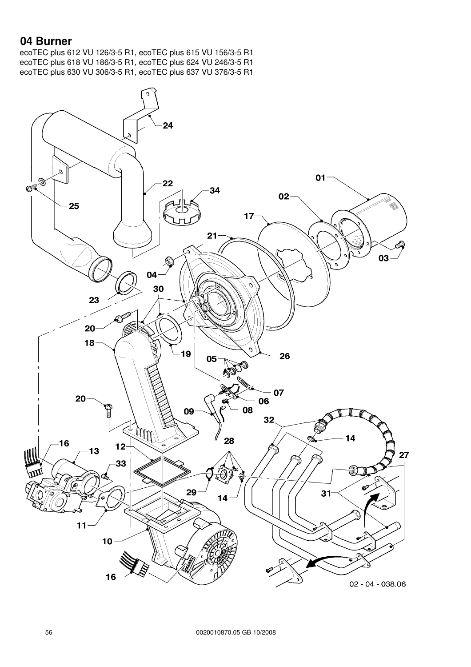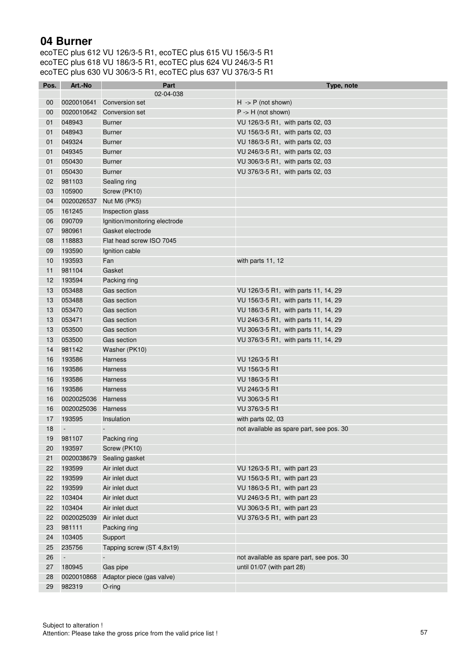| Pos.              | Art.-No    | Part                          | Type, note                               |
|-------------------|------------|-------------------------------|------------------------------------------|
|                   |            | 02-04-038                     |                                          |
| 00                | 0020010641 | Conversion set                | $H \rightarrow P$ (not shown)            |
| $00\,$            | 0020010642 | Conversion set                | $P \rightarrow H$ (not shown)            |
| 01                | 048943     | <b>Burner</b>                 | VU 126/3-5 R1, with parts 02, 03         |
| 01                | 048943     | <b>Burner</b>                 | VU 156/3-5 R1, with parts 02, 03         |
| 01                | 049324     | <b>Burner</b>                 | VU 186/3-5 R1, with parts 02, 03         |
| 01                | 049345     | <b>Burner</b>                 | VU 246/3-5 R1, with parts 02, 03         |
| 01                | 050430     | <b>Burner</b>                 | VU 306/3-5 R1, with parts 02, 03         |
| 01                | 050430     | <b>Burner</b>                 | VU 376/3-5 R1, with parts 02, 03         |
| 02                | 981103     | Sealing ring                  |                                          |
| 03                | 105900     | Screw (PK10)                  |                                          |
| 04                | 0020026537 | Nut M6 (PK5)                  |                                          |
| 05                | 161245     | Inspection glass              |                                          |
| 06                | 090709     | Ignition/monitoring electrode |                                          |
| 07                | 980961     | Gasket electrode              |                                          |
| 08                | 118883     | Flat head screw ISO 7045      |                                          |
| 09                | 193590     | Ignition cable                |                                          |
| 10                | 193593     | Fan                           | with parts 11, 12                        |
| 11                | 981104     | Gasket                        |                                          |
| $12 \overline{ }$ | 193594     | Packing ring                  |                                          |
| 13                | 053488     | Gas section                   | VU 126/3-5 R1, with parts 11, 14, 29     |
| 13                | 053488     | Gas section                   | VU 156/3-5 R1, with parts 11, 14, 29     |
| 13                | 053470     | Gas section                   | VU 186/3-5 R1, with parts 11, 14, 29     |
| 13                | 053471     | Gas section                   | VU 246/3-5 R1, with parts 11, 14, 29     |
| 13                | 053500     | Gas section                   | VU 306/3-5 R1, with parts 11, 14, 29     |
| 13                | 053500     | Gas section                   | VU 376/3-5 R1, with parts 11, 14, 29     |
| 14                | 981142     | Washer (PK10)                 |                                          |
| 16                | 193586     | Harness                       | VU 126/3-5 R1                            |
| 16                | 193586     | <b>Harness</b>                | VU 156/3-5 R1                            |
| 16                | 193586     | Harness                       | VU 186/3-5 R1                            |
| 16                | 193586     | <b>Harness</b>                | VU 246/3-5 R1                            |
| 16                | 0020025036 | Harness                       | VU 306/3-5 R1                            |
| 16                | 0020025036 | Harness                       | VU 376/3-5 R1                            |
| 17                | 193595     | Insulation                    | with parts 02, 03                        |
| 18                | $\Box$     | $\blacksquare$                | not available as spare part, see pos. 30 |
| 19                | 981107     | Packing ring                  |                                          |
| 20                | 193597     | Screw (PK10)                  |                                          |
| 21                | 0020038679 | Sealing gasket                |                                          |
| 22                | 193599     | Air inlet duct                | VU 126/3-5 R1, with part 23              |
| 22                | 193599     | Air inlet duct                | VU 156/3-5 R1, with part 23              |
| 22                | 193599     | Air inlet duct                | VU 186/3-5 R1, with part 23              |
| 22                | 103404     | Air inlet duct                | VU 246/3-5 R1, with part 23              |
| 22                | 103404     | Air inlet duct                | VU 306/3-5 R1, with part 23              |
| 22                | 0020025039 | Air inlet duct                | VU 376/3-5 R1, with part 23              |
| 23                | 981111     | Packing ring                  |                                          |
| 24                | 103405     | Support                       |                                          |
| 25                | 235756     | Tapping screw (ST 4,8x19)     |                                          |
| 26                | $\Box$     |                               | not available as spare part, see pos. 30 |
| 27                | 180945     | Gas pipe                      | until 01/07 (with part 28)               |
| 28                | 0020010868 | Adaptor piece (gas valve)     |                                          |
| 29                | 982319     | O-ring                        |                                          |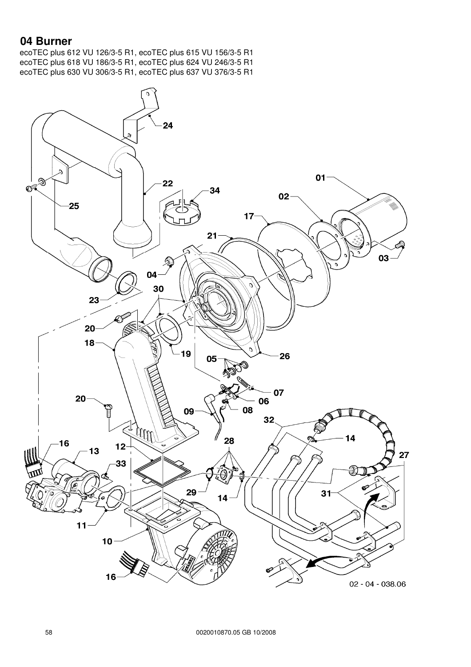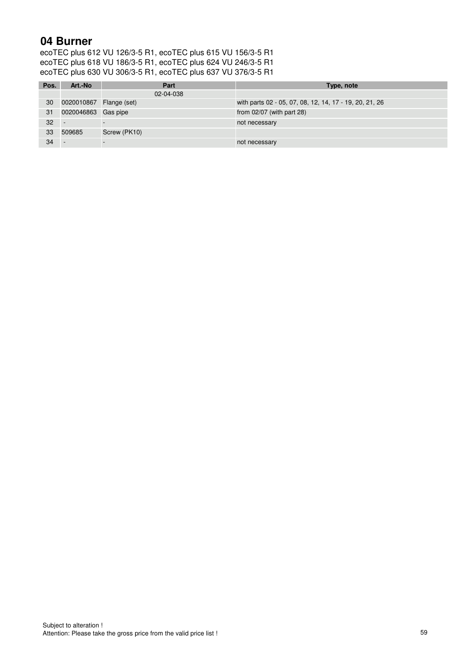| Pos. | Art.-No                 | Part         | Type, note                                              |
|------|-------------------------|--------------|---------------------------------------------------------|
|      |                         | 02-04-038    |                                                         |
| 30   | 0020010867 Flange (set) |              | with parts 02 - 05, 07, 08, 12, 14, 17 - 19, 20, 21, 26 |
| 31   | 0020046863 Gas pipe     |              | from $02/07$ (with part 28)                             |
| 32   |                         |              | not necessary                                           |
| 33   | 509685                  | Screw (PK10) |                                                         |
| 34   |                         |              | not necessary                                           |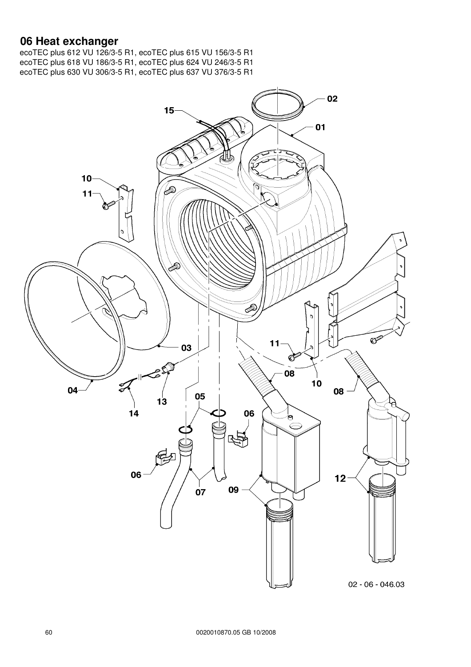#### **06 Heat exchanger**

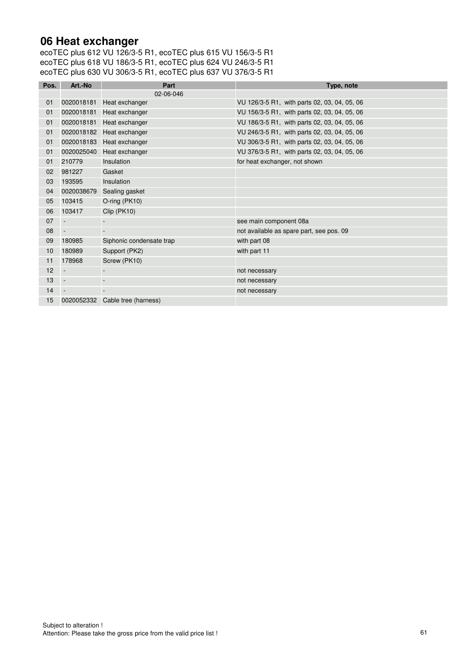### **06 Heat exchanger**

| Pos. | Art.-No        | Part                     | Type, note                                   |
|------|----------------|--------------------------|----------------------------------------------|
|      |                | 02-06-046                |                                              |
| 01   | 0020018181     | Heat exchanger           | VU 126/3-5 R1, with parts 02, 03, 04, 05, 06 |
| 01   | 0020018181     | Heat exchanger           | VU 156/3-5 R1, with parts 02, 03, 04, 05, 06 |
| 01   | 0020018181     | Heat exchanger           | VU 186/3-5 R1, with parts 02, 03, 04, 05, 06 |
| 01   | 0020018182     | Heat exchanger           | VU 246/3-5 R1, with parts 02, 03, 04, 05, 06 |
| 01   | 0020018183     | Heat exchanger           | VU 306/3-5 R1, with parts 02, 03, 04, 05, 06 |
| 01   | 0020025040     | Heat exchanger           | VU 376/3-5 R1, with parts 02, 03, 04, 05, 06 |
| 01   | 210779         | Insulation               | for heat exchanger, not shown                |
| 02   | 981227         | Gasket                   |                                              |
| 03   | 193595         | Insulation               |                                              |
| 04   | 0020038679     | Sealing gasket           |                                              |
| 05   | 103415         | O-ring (PK10)            |                                              |
| 06   | 103417         | Clip (PK10)              |                                              |
| 07   |                |                          | see main component 08a                       |
| 08   | $\blacksquare$ | $\overline{a}$           | not available as spare part, see pos. 09     |
| 09   | 180985         | Siphonic condensate trap | with part 08                                 |
| 10   | 180989         | Support (PK2)            | with part 11                                 |
| 11   | 178968         | Screw (PK10)             |                                              |
| 12   | $\blacksquare$ |                          | not necessary                                |
| 13   |                |                          | not necessary                                |
| 14   | $\blacksquare$ | $\overline{\phantom{a}}$ | not necessary                                |
| 15   | 0020052332     | Cable tree (harness)     |                                              |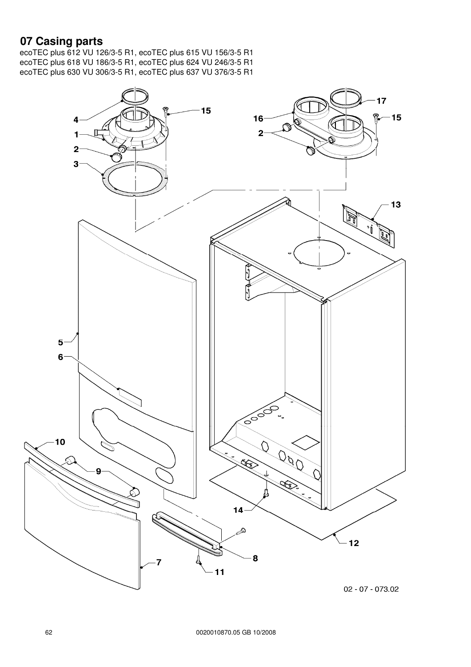### **07 Casing parts**

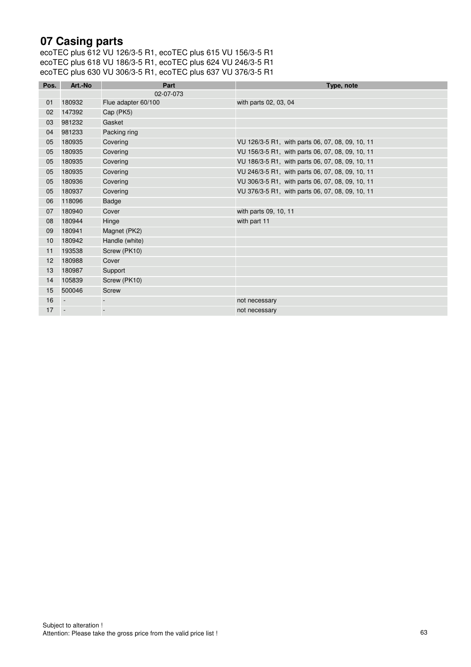## **07 Casing parts**

| Pos. | Art.-No                  | Part                | Type, note                                       |
|------|--------------------------|---------------------|--------------------------------------------------|
|      |                          | 02-07-073           |                                                  |
| 01   | 180932                   | Flue adapter 60/100 | with parts 02, 03, 04                            |
| 02   | 147392                   | Cap (PK5)           |                                                  |
| 03   | 981232                   | Gasket              |                                                  |
| 04   | 981233                   | Packing ring        |                                                  |
| 05   | 180935                   | Covering            | VU 126/3-5 R1, with parts 06, 07, 08, 09, 10, 11 |
| 05   | 180935                   | Covering            | VU 156/3-5 R1, with parts 06, 07, 08, 09, 10, 11 |
| 05   | 180935                   | Covering            | VU 186/3-5 R1, with parts 06, 07, 08, 09, 10, 11 |
| 05   | 180935                   | Covering            | VU 246/3-5 R1, with parts 06, 07, 08, 09, 10, 11 |
| 05   | 180936                   | Covering            | VU 306/3-5 R1, with parts 06, 07, 08, 09, 10, 11 |
| 05   | 180937                   | Covering            | VU 376/3-5 R1, with parts 06, 07, 08, 09, 10, 11 |
| 06   | 118096                   | <b>Badge</b>        |                                                  |
| 07   | 180940                   | Cover               | with parts 09, 10, 11                            |
| 08   | 180944                   | Hinge               | with part 11                                     |
| 09   | 180941                   | Magnet (PK2)        |                                                  |
| 10   | 180942                   | Handle (white)      |                                                  |
| 11   | 193538                   | Screw (PK10)        |                                                  |
| 12   | 180988                   | Cover               |                                                  |
| 13   | 180987                   | Support             |                                                  |
| 14   | 105839                   | Screw (PK10)        |                                                  |
| 15   | 500046                   | <b>Screw</b>        |                                                  |
| 16   | $\overline{\phantom{a}}$ |                     | not necessary                                    |
| 17   | $\sim$                   |                     | not necessary                                    |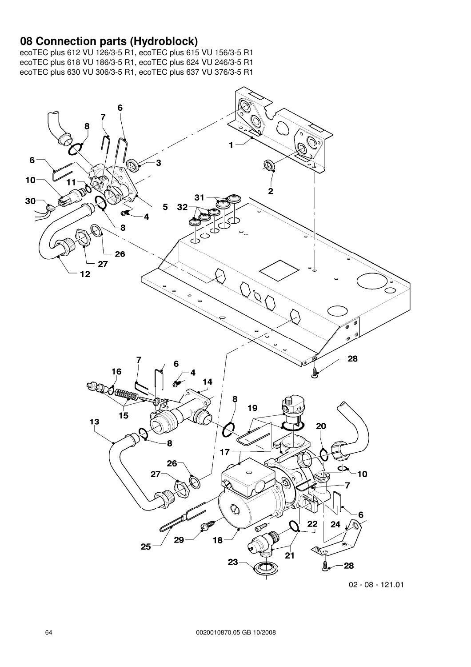#### **08 Connection parts (Hydroblock)**

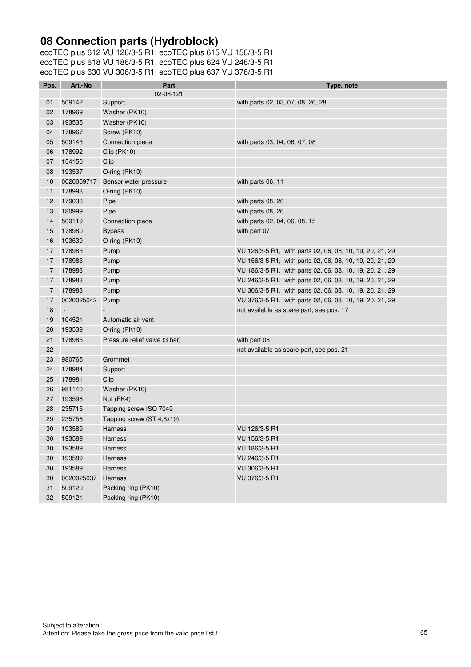## **08 Connection parts (Hydroblock)**

| Pos. | Art.-No                  | Part                          | Type, note                                               |
|------|--------------------------|-------------------------------|----------------------------------------------------------|
|      |                          | 02-08-121                     |                                                          |
| 01   | 509142                   | Support                       | with parts 02, 03, 07, 08, 26, 28                        |
| 02   | 178969                   | Washer (PK10)                 |                                                          |
| 03   | 193535                   | Washer (PK10)                 |                                                          |
| 04   | 178967                   | Screw (PK10)                  |                                                          |
| 05   | 509143                   | Connection piece              | with parts 03, 04, 06, 07, 08                            |
| 06   | 178992                   | Clip (PK10)                   |                                                          |
| 07   | 154150                   | Clip                          |                                                          |
| 08   | 193537                   | O-ring (PK10)                 |                                                          |
| 10   | 0020059717               | Sensor water pressure         | with parts 06, 11                                        |
| 11   | 178993                   | O-ring (PK10)                 |                                                          |
| 12   | 179033                   | Pipe                          | with parts 08, 26                                        |
| 13   | 180999                   | Pipe                          | with parts 08, 26                                        |
| 14   | 509119                   | Connection piece              | with parts 02, 04, 06, 08, 15                            |
| 15   | 178980                   | <b>Bypass</b>                 | with part 07                                             |
| 16   | 193539                   | O-ring (PK10)                 |                                                          |
| 17   | 178983                   | Pump                          | VU 126/3-5 R1, with parts 02, 06, 08, 10, 19, 20, 21, 29 |
| 17   | 178983                   | Pump                          | VU 156/3-5 R1, with parts 02, 06, 08, 10, 19, 20, 21, 29 |
| 17   | 178983                   | Pump                          | VU 186/3-5 R1, with parts 02, 06, 08, 10, 19, 20, 21, 29 |
| 17   | 178983                   | Pump                          | VU 246/3-5 R1, with parts 02, 06, 08, 10, 19, 20, 21, 29 |
| 17   | 178983                   | Pump                          | VU 306/3-5 R1, with parts 02, 06, 08, 10, 19, 20, 21, 29 |
| 17   | 0020025042 Pump          |                               | VU 376/3-5 R1, with parts 02, 06, 08, 10, 19, 20, 21, 29 |
| 18   | $\overline{\phantom{a}}$ |                               | not available as spare part, see pos. 17                 |
| 19   | 104521                   | Automatic air vent            |                                                          |
| 20   | 193539                   | O-ring (PK10)                 |                                                          |
| 21   | 178985                   | Pressure relief valve (3 bar) | with part 06                                             |
| 22   | $\Box$                   | $\blacksquare$                | not available as spare part, see pos. 21                 |
| 23   | 980765                   | Grommet                       |                                                          |
| 24   | 178984                   | Support                       |                                                          |
| 25   | 178981                   | Clip                          |                                                          |
| 26   | 981140                   | Washer (PK10)                 |                                                          |
| 27   | 193598                   | Nut (PK4)                     |                                                          |
| 28   | 235715                   | Tapping screw ISO 7049        |                                                          |
| 29   | 235756                   | Tapping screw (ST 4,8x19)     |                                                          |
| 30   | 193589                   | Harness                       | VU 126/3-5 R1                                            |
| 30   | 193589                   | Harness                       | VU 156/3-5 R1                                            |
| 30   | 193589                   | Harness                       | VU 186/3-5 R1                                            |
| 30   | 193589                   | Harness                       | VU 246/3-5 R1                                            |
| 30   | 193589                   | Harness                       | VU 306/3-5 R1                                            |
| 30   | 0020025037               | Harness                       | VU 376/3-5 R1                                            |
| 31   | 509120                   | Packing ring (PK10)           |                                                          |
| 32   | 509121                   | Packing ring (PK10)           |                                                          |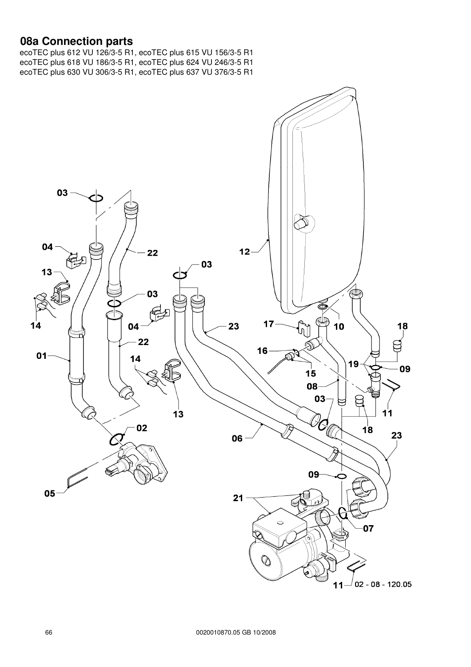#### **08a Connection parts**

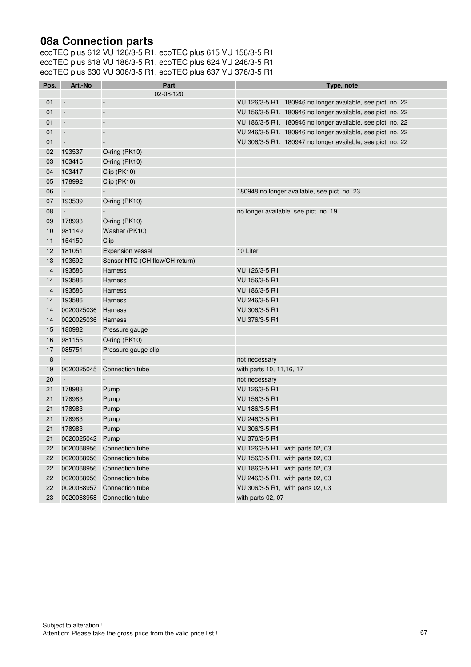### **08a Connection parts**

| Pos. | Art.-No                  | Part                           | Type, note                                                  |
|------|--------------------------|--------------------------------|-------------------------------------------------------------|
|      |                          | 02-08-120                      |                                                             |
| 01   | $\overline{\phantom{a}}$ | $\blacksquare$                 | VU 126/3-5 R1, 180946 no longer available, see pict. no. 22 |
| 01   | $\overline{\phantom{a}}$ | $\Box$                         | VU 156/3-5 R1, 180946 no longer available, see pict. no. 22 |
| 01   | $\overline{\phantom{a}}$ | $\overline{\phantom{a}}$       | VU 186/3-5 R1, 180946 no longer available, see pict. no. 22 |
| 01   | $\overline{\phantom{a}}$ | $\blacksquare$                 | VU 246/3-5 R1, 180946 no longer available, see pict. no. 22 |
| 01   | $\overline{\phantom{a}}$ |                                | VU 306/3-5 R1, 180947 no longer available, see pict. no. 22 |
| 02   | 193537                   | O-ring (PK10)                  |                                                             |
| 03   | 103415                   | O-ring (PK10)                  |                                                             |
| 04   | 103417                   | Clip (PK10)                    |                                                             |
| 05   | 178992                   | Clip (PK10)                    |                                                             |
| 06   | $\sim$                   |                                | 180948 no longer available, see pict. no. 23                |
| 07   | 193539                   | O-ring (PK10)                  |                                                             |
| 08   | $\overline{\phantom{a}}$ |                                | no longer available, see pict. no. 19                       |
| 09   | 178993                   | O-ring (PK10)                  |                                                             |
| 10   | 981149                   | Washer (PK10)                  |                                                             |
| 11   | 154150                   | Clip                           |                                                             |
| 12   | 181051                   | <b>Expansion vessel</b>        | 10 Liter                                                    |
| 13   | 193592                   | Sensor NTC (CH flow/CH return) |                                                             |
| 14   | 193586                   | <b>Harness</b>                 | VU 126/3-5 R1                                               |
| 14   | 193586                   | Harness                        | VU 156/3-5 R1                                               |
| 14   | 193586                   | <b>Harness</b>                 | VU 186/3-5 R1                                               |
| 14   | 193586                   | Harness                        | VU 246/3-5 R1                                               |
| 14   | 0020025036               | Harness                        | VU 306/3-5 R1                                               |
| 14   | 0020025036               | Harness                        | VU 376/3-5 R1                                               |
| 15   | 180982                   | Pressure gauge                 |                                                             |
| 16   | 981155                   | O-ring (PK10)                  |                                                             |
| 17   | 085751                   | Pressure gauge clip            |                                                             |
| 18   | $\overline{\phantom{a}}$ |                                | not necessary                                               |
| 19   | 0020025045               | Connection tube                | with parts 10, 11, 16, 17                                   |
| 20   | $\Box$                   |                                | not necessary                                               |
| 21   | 178983                   | Pump                           | VU 126/3-5 R1                                               |
| 21   | 178983                   | Pump                           | VU 156/3-5 R1                                               |
| 21   | 178983                   | Pump                           | VU 186/3-5 R1                                               |
| 21   | 178983                   | Pump                           | VU 246/3-5 R1                                               |
| 21   | 178983                   | Pump                           | VU 306/3-5 R1                                               |
| 21   | 0020025042 Pump          |                                | VU 376/3-5 R1                                               |
| 22   |                          | 0020068956 Connection tube     | VU 126/3-5 R1, with parts 02, 03                            |
| 22   | 0020068956               | Connection tube                | VU 156/3-5 R1, with parts 02, 03                            |
| 22   | 0020068956               | Connection tube                | VU 186/3-5 R1, with parts 02, 03                            |
| 22   | 0020068956               | Connection tube                | VU 246/3-5 R1, with parts 02, 03                            |
| 22   | 0020068957               | Connection tube                | VU 306/3-5 R1, with parts 02, 03                            |
| 23   |                          | 0020068958 Connection tube     | with parts 02, 07                                           |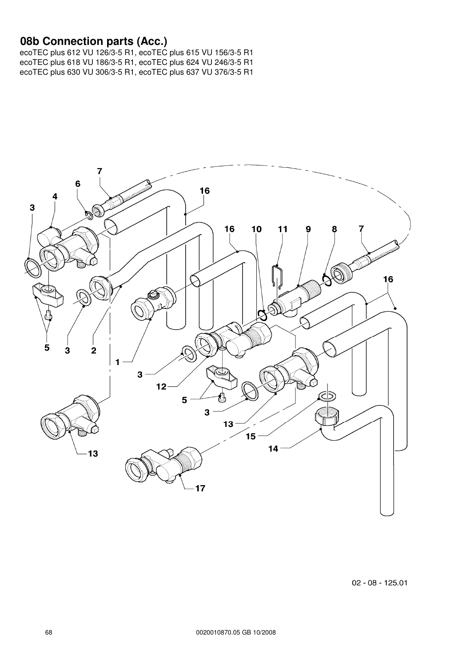#### **08b Connection parts (Acc.)**



 $02 - 08 - 125.01$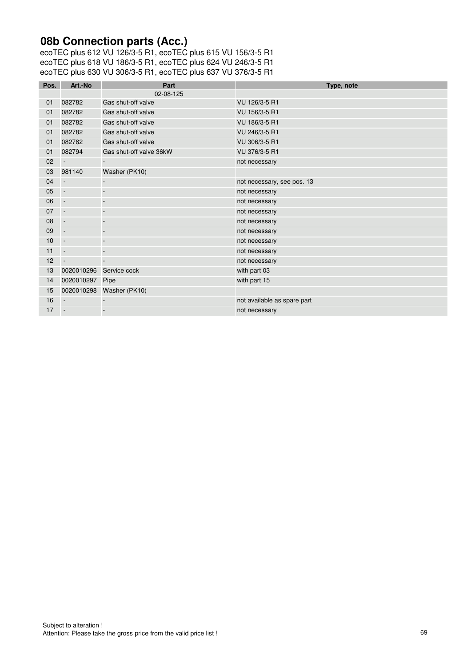# **08b Connection parts (Acc.)**

| Pos. | Art.-No                  | Part                     | Type, note                  |
|------|--------------------------|--------------------------|-----------------------------|
|      |                          | 02-08-125                |                             |
| 01   | 082782                   | Gas shut-off valve       | VU 126/3-5 R1               |
| 01   | 082782                   | Gas shut-off valve       | VU 156/3-5 R1               |
| 01   | 082782                   | Gas shut-off valve       | VU 186/3-5 R1               |
| 01   | 082782                   | Gas shut-off valve       | VU 246/3-5 R1               |
| 01   | 082782                   | Gas shut-off valve       | VU 306/3-5 R1               |
| 01   | 082794                   | Gas shut-off valve 36kW  | VU 376/3-5 R1               |
| 02   | $\overline{\phantom{a}}$ |                          | not necessary               |
| 03   | 981140                   | Washer (PK10)            |                             |
| 04   | $\overline{\phantom{a}}$ | $\overline{\phantom{a}}$ | not necessary, see pos. 13  |
| 05   | $\overline{\phantom{a}}$ | $\overline{\phantom{a}}$ | not necessary               |
| 06   | $\blacksquare$           | $\overline{a}$           | not necessary               |
| 07   | $\overline{\phantom{a}}$ |                          | not necessary               |
| 08   | $\overline{\phantom{a}}$ |                          | not necessary               |
| 09   | $\overline{\phantom{a}}$ | $\overline{\phantom{a}}$ | not necessary               |
| 10   | $\overline{\phantom{a}}$ | $\overline{\phantom{a}}$ | not necessary               |
| 11   | $\overline{\phantom{a}}$ | $\overline{\phantom{a}}$ | not necessary               |
| 12   | $\sim$                   | $\overline{\phantom{a}}$ | not necessary               |
| 13   | 0020010296               | Service cock             | with part 03                |
| 14   | 0020010297               | Pipe                     | with part 15                |
| 15   | 0020010298               | Washer (PK10)            |                             |
| 16   | $\overline{\phantom{a}}$ |                          | not available as spare part |
| 17   | $\sim$                   |                          | not necessary               |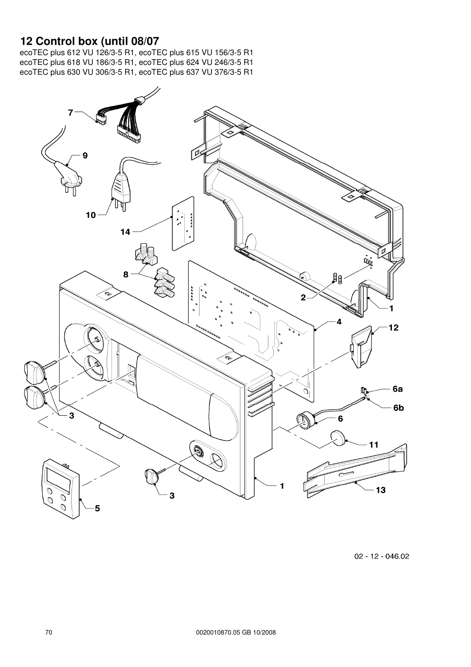#### **12 Control box (until 08/07**

ecoTEC plus 612 VU 126/3-5 R1, ecoTEC plus 615 VU 156/3-5 R1 ecoTEC plus 618 VU 186/3-5 R1, ecoTEC plus 624 VU 246/3-5 R1 ecoTEC plus 630 VU 306/3-5 R1, ecoTEC plus 637 VU 376/3-5 R1



 $02 - 12 - 046.02$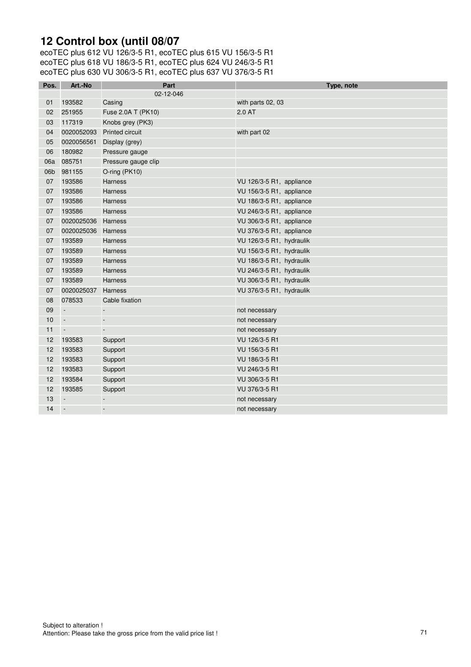## **12 Control box (until 08/07**

ecoTEC plus 612 VU 126/3-5 R1, ecoTEC plus 615 VU 156/3-5 R1 ecoTEC plus 618 VU 186/3-5 R1, ecoTEC plus 624 VU 246/3-5 R1 ecoTEC plus 630 VU 306/3-5 R1, ecoTEC plus 637 VU 376/3-5 R1

| Pos.            | Art.-No                  | Part                   | Type, note               |
|-----------------|--------------------------|------------------------|--------------------------|
|                 |                          | 02-12-046              |                          |
| 01              | 193582                   | Casing                 | with parts 02, 03        |
| 02 <sub>2</sub> | 251955                   | Fuse 2.0A T (PK10)     | 2.0 AT                   |
| 03              | 117319                   | Knobs grey (PK3)       |                          |
| 04              | 0020052093               | <b>Printed circuit</b> | with part 02             |
| 05              | 0020056561               | Display (grey)         |                          |
| 06              | 180982                   | Pressure gauge         |                          |
| 06a             | 085751                   | Pressure gauge clip    |                          |
| 06b             | 981155                   | O-ring (PK10)          |                          |
| 07              | 193586                   | <b>Harness</b>         | VU 126/3-5 R1, appliance |
| 07              | 193586                   | <b>Harness</b>         | VU 156/3-5 R1, appliance |
| 07              | 193586                   | Harness                | VU 186/3-5 R1, appliance |
| 07              | 193586                   | Harness                | VU 246/3-5 R1, appliance |
| 07              | 0020025036               | Harness                | VU 306/3-5 R1, appliance |
| 07              | 0020025036 Harness       |                        | VU 376/3-5 R1, appliance |
| 07              | 193589                   | Harness                | VU 126/3-5 R1, hydraulik |
| 07              | 193589                   | <b>Harness</b>         | VU 156/3-5 R1, hydraulik |
| 07              | 193589                   | <b>Harness</b>         | VU 186/3-5 R1, hydraulik |
| 07              | 193589                   | Harness                | VU 246/3-5 R1, hydraulik |
| 07              | 193589                   | Harness                | VU 306/3-5 R1, hydraulik |
| 07              | 0020025037               | <b>Harness</b>         | VU 376/3-5 R1, hydraulik |
| 08              | 078533                   | Cable fixation         |                          |
| 09              | $\sim$                   | $\overline{a}$         | not necessary            |
| $10$            | $\blacksquare$           | ÷,                     | not necessary            |
| 11              | $\overline{\phantom{a}}$ | $\overline{a}$         | not necessary            |
| 12              | 193583                   | Support                | VU 126/3-5 R1            |
| 12              | 193583                   | Support                | VU 156/3-5 R1            |
| 12              | 193583                   | Support                | VU 186/3-5 R1            |
| 12              | 193583                   | Support                | VU 246/3-5 R1            |
| 12              | 193584                   | Support                | VU 306/3-5 R1            |
| 12              | 193585                   | Support                | VU 376/3-5 R1            |
| 13              | $\overline{\phantom{a}}$ | $\overline{a}$         | not necessary            |
| 14              | $\mathbb{L}$             | $\overline{a}$         | not necessary            |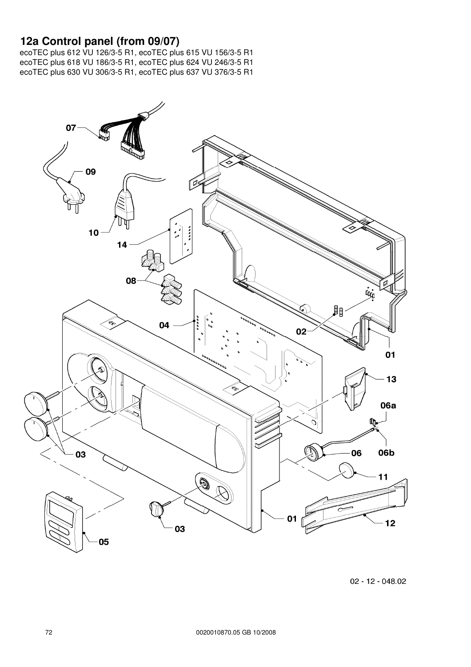## **12a Control panel (from 09/07)**

ecoTEC plus 612 VU 126/3-5 R1, ecoTEC plus 615 VU 156/3-5 R1 ecoTEC plus 618 VU 186/3-5 R1, ecoTEC plus 624 VU 246/3-5 R1 ecoTEC plus 630 VU 306/3-5 R1, ecoTEC plus 637 VU 376/3-5 R1



02 - 12 - 048.02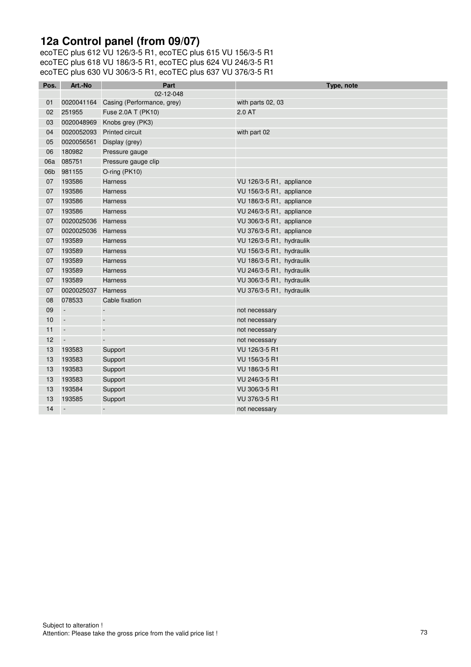## **12a Control panel (from 09/07)**

ecoTEC plus 612 VU 126/3-5 R1, ecoTEC plus 615 VU 156/3-5 R1 ecoTEC plus 618 VU 186/3-5 R1, ecoTEC plus 624 VU 246/3-5 R1 ecoTEC plus 630 VU 306/3-5 R1, ecoTEC plus 637 VU 376/3-5 R1

| Pos. | Art.-No                  | Part                                  | Type, note               |
|------|--------------------------|---------------------------------------|--------------------------|
|      |                          | 02-12-048                             |                          |
| 01   |                          | 0020041164 Casing (Performance, grey) | with parts 02, 03        |
| 02   | 251955                   | Fuse 2.0A T (PK10)                    | 2.0 AT                   |
| 03   | 0020048969               | Knobs grey (PK3)                      |                          |
| 04   | 0020052093               | <b>Printed circuit</b>                | with part 02             |
| 05   | 0020056561               | Display (grey)                        |                          |
| 06   | 180982                   | Pressure gauge                        |                          |
| 06a  | 085751                   | Pressure gauge clip                   |                          |
| 06b  | 981155                   | O-ring (PK10)                         |                          |
| 07   | 193586                   | <b>Harness</b>                        | VU 126/3-5 R1, appliance |
| 07   | 193586                   | <b>Harness</b>                        | VU 156/3-5 R1, appliance |
| 07   | 193586                   | <b>Harness</b>                        | VU 186/3-5 R1, appliance |
| 07   | 193586                   | Harness                               | VU 246/3-5 R1, appliance |
| 07   | 0020025036               | <b>Harness</b>                        | VU 306/3-5 R1, appliance |
| 07   | 0020025036 Harness       |                                       | VU 376/3-5 R1, appliance |
| 07   | 193589                   | Harness                               | VU 126/3-5 R1, hydraulik |
| 07   | 193589                   | <b>Harness</b>                        | VU 156/3-5 R1, hydraulik |
| 07   | 193589                   | <b>Harness</b>                        | VU 186/3-5 R1, hydraulik |
| 07   | 193589                   | <b>Harness</b>                        | VU 246/3-5 R1, hydraulik |
| 07   | 193589                   | <b>Harness</b>                        | VU 306/3-5 R1, hydraulik |
| 07   | 0020025037               | <b>Harness</b>                        | VU 376/3-5 R1, hydraulik |
| 08   | 078533                   | Cable fixation                        |                          |
| 09   | $\Box$                   | $\overline{a}$                        | not necessary            |
| 10   | $\overline{\phantom{a}}$ | $\Box$                                | not necessary            |
| 11   | $\overline{\phantom{a}}$ | $\overline{a}$                        | not necessary            |
| 12   | $\overline{\phantom{a}}$ | $\overline{\phantom{a}}$              | not necessary            |
| 13   | 193583                   | Support                               | VU 126/3-5 R1            |
| 13   | 193583                   | Support                               | VU 156/3-5 R1            |
| 13   | 193583                   | Support                               | VU 186/3-5 R1            |
| 13   | 193583                   | Support                               | VU 246/3-5 R1            |
| 13   | 193584                   | Support                               | VU 306/3-5 R1            |
| 13   | 193585                   | Support                               | VU 376/3-5 R1            |
| 14   | $\overline{\phantom{a}}$ | $\overline{a}$                        | not necessary            |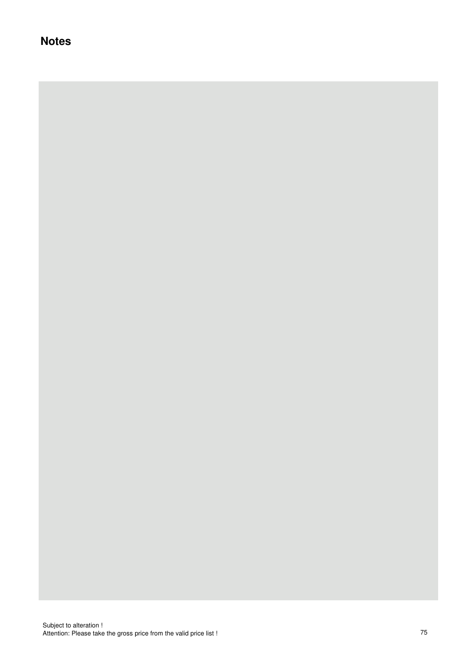## **Notes**